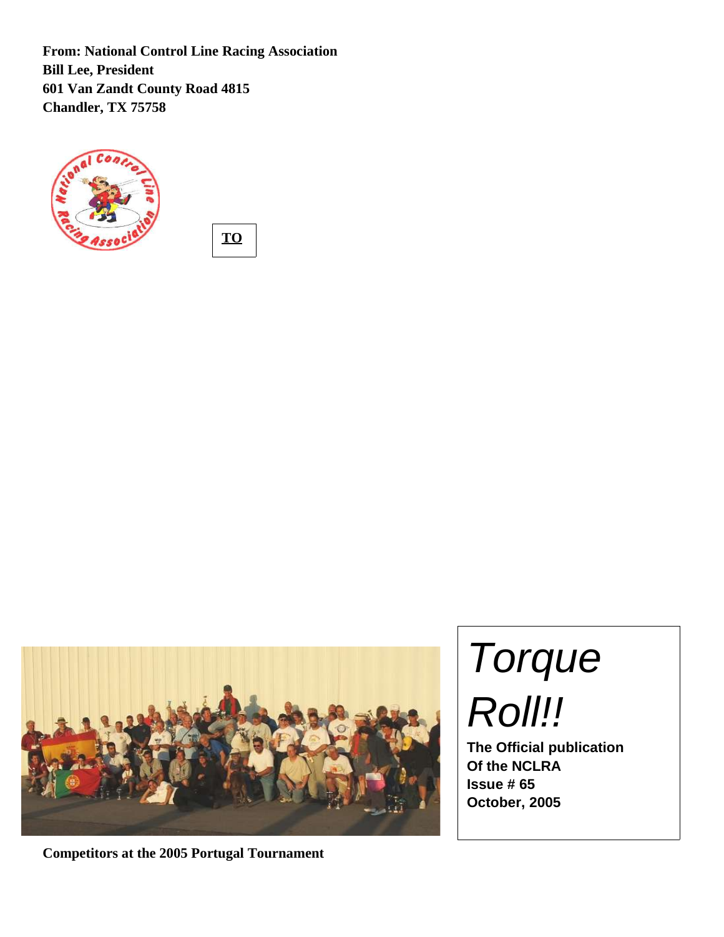**From: National Control Line Racing Association Bill Lee, President 601 Van Zandt County Road 4815 Chandler, TX 75758**







**Competitors at the 2005 Portugal Tournament**

Torque Roll!!

**The Official publication Of the NCLRA Issue # 65 October, 2005**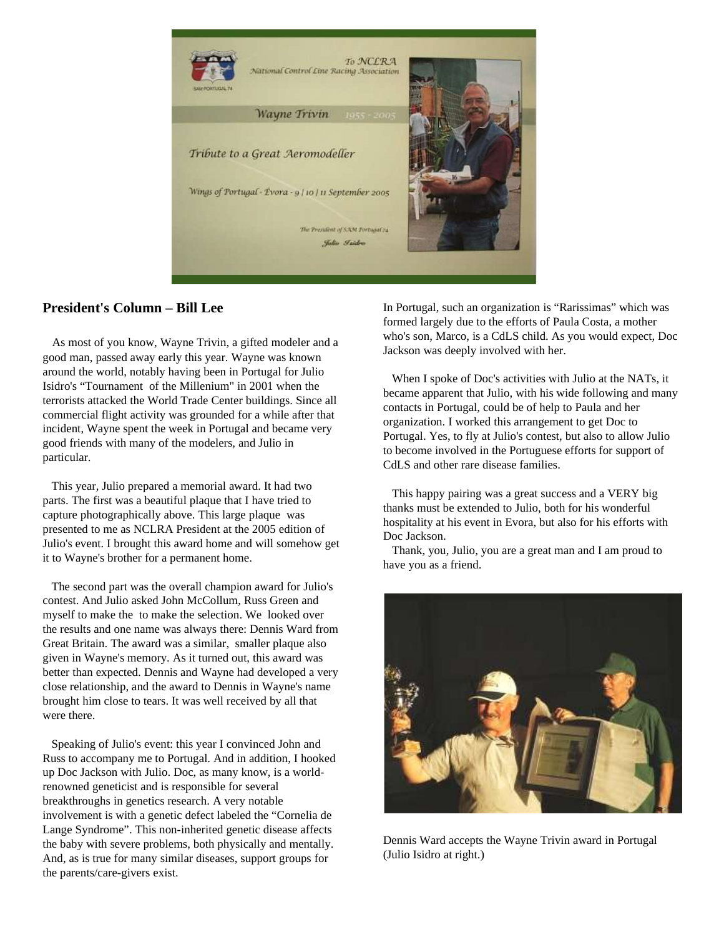

## **President's Column – Bill Lee**

As most of you know, Wayne Trivin, a gifted modeler and a good man, passed away early this year. Wayne was known around the world, notably having been in Portugal for Julio Isidro's "Tournament of the Millenium" in 2001 when the terrorists attacked the World Trade Center buildings. Since all commercial flight activity was grounded for a while after that incident, Wayne spent the week in Portugal and became very good friends with many of the modelers, and Julio in particular.

This year, Julio prepared a memorial award. It had two parts. The first was a beautiful plaque that I have tried to capture photographically above. This large plaque was presented to me as NCLRA President at the 2005 edition of Julio's event. I brought this award home and will somehow get it to Wayne's brother for a permanent home.

The second part was the overall champion award for Julio's contest. And Julio asked John McCollum, Russ Green and myself to make the to make the selection. We looked over the results and one name was always there: Dennis Ward from Great Britain. The award was a similar, smaller plaque also given in Wayne's memory. As it turned out, this award was better than expected. Dennis and Wayne had developed a very close relationship, and the award to Dennis in Wayne's name brought him close to tears. It was well received by all that were there.

Speaking of Julio's event: this year I convinced John and Russ to accompany me to Portugal. And in addition, I hooked up Doc Jackson with Julio. Doc, as many know, is a worldrenowned geneticist and is responsible for several breakthroughs in genetics research. A very notable involvement is with a genetic defect labeled the "Cornelia de Lange Syndrome". This non-inherited genetic disease affects the baby with severe problems, both physically and mentally. And, as is true for many similar diseases, support groups for the parents/care-givers exist.

In Portugal, such an organization is "Rarissimas" which was formed largely due to the efforts of Paula Costa, a mother who's son, Marco, is a CdLS child. As you would expect, Doc Jackson was deeply involved with her.

When I spoke of Doc's activities with Julio at the NATs, it became apparent that Julio, with his wide following and many contacts in Portugal, could be of help to Paula and her organization. I worked this arrangement to get Doc to Portugal. Yes, to fly at Julio's contest, but also to allow Julio to become involved in the Portuguese efforts for support of CdLS and other rare disease families.

This happy pairing was a great success and a VERY big thanks must be extended to Julio, both for his wonderful hospitality at his event in Evora, but also for his efforts with Doc Jackson.

Thank, you, Julio, you are a great man and I am proud to have you as a friend.



Dennis Ward accepts the Wayne Trivin award in Portugal (Julio Isidro at right.)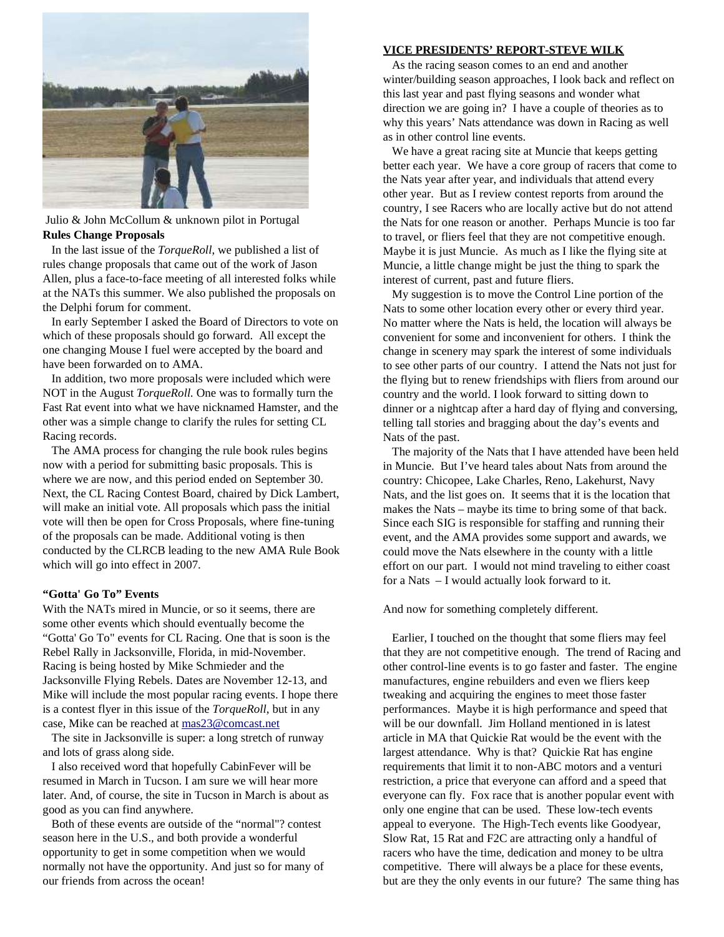

#### Julio & John McCollum & unknown pilot in Portugal **Rules Change Proposals**

In the last issue of the *TorqueRoll*, we published a list of rules change proposals that came out of the work of Jason Allen, plus a face-to-face meeting of all interested folks while at the NATs this summer. We also published the proposals on the Delphi forum for comment.

In early September I asked the Board of Directors to vote on which of these proposals should go forward. All except the one changing Mouse I fuel were accepted by the board and have been forwarded on to AMA.

In addition, two more proposals were included which were NOT in the August *TorqueRoll.* One was to formally turn the Fast Rat event into what we have nicknamed Hamster, and the other was a simple change to clarify the rules for setting CL Racing records.

The AMA process for changing the rule book rules begins now with a period for submitting basic proposals. This is where we are now, and this period ended on September 30. Next, the CL Racing Contest Board, chaired by Dick Lambert, will make an initial vote. All proposals which pass the initial vote will then be open for Cross Proposals, where fine-tuning of the proposals can be made. Additional voting is then conducted by the CLRCB leading to the new AMA Rule Book which will go into effect in 2007.

#### **"Gotta' Go To" Events**

With the NATs mired in Muncie, or so it seems, there are some other events which should eventually become the "Gotta' Go To" events for CL Racing. One that is soon is the Rebel Rally in Jacksonville, Florida, in mid-November. Racing is being hosted by Mike Schmieder and the Jacksonville Flying Rebels. Dates are November 12-13, and Mike will include the most popular racing events. I hope there is a contest flyer in this issue of the *TorqueRoll*, but in any case, Mike can be reached at mas23@comcast.net

The site in Jacksonville is super: a long stretch of runway and lots of grass along side.

I also received word that hopefully CabinFever will be resumed in March in Tucson. I am sure we will hear more later. And, of course, the site in Tucson in March is about as good as you can find anywhere.

Both of these events are outside of the "normal"? contest season here in the U.S., and both provide a wonderful opportunity to get in some competition when we would normally not have the opportunity. And just so for many of our friends from across the ocean!

#### **VICE PRESIDENTS' REPORT-STEVE WILK**

As the racing season comes to an end and another winter/building season approaches, I look back and reflect on this last year and past flying seasons and wonder what direction we are going in? I have a couple of theories as to why this years' Nats attendance was down in Racing as well as in other control line events.

We have a great racing site at Muncie that keeps getting better each year. We have a core group of racers that come to the Nats year after year, and individuals that attend every other year. But as I review contest reports from around the country, I see Racers who are locally active but do not attend the Nats for one reason or another. Perhaps Muncie is too far to travel, or fliers feel that they are not competitive enough. Maybe it is just Muncie. As much as I like the flying site at Muncie, a little change might be just the thing to spark the interest of current, past and future fliers.

My suggestion is to move the Control Line portion of the Nats to some other location every other or every third year. No matter where the Nats is held, the location will always be convenient for some and inconvenient for others. I think the change in scenery may spark the interest of some individuals to see other parts of our country. I attend the Nats not just for the flying but to renew friendships with fliers from around our country and the world. I look forward to sitting down to dinner or a nightcap after a hard day of flying and conversing, telling tall stories and bragging about the day's events and Nats of the past.

The majority of the Nats that I have attended have been held in Muncie. But I've heard tales about Nats from around the country: Chicopee, Lake Charles, Reno, Lakehurst, Navy Nats, and the list goes on. It seems that it is the location that makes the Nats – maybe its time to bring some of that back. Since each SIG is responsible for staffing and running their event, and the AMA provides some support and awards, we could move the Nats elsewhere in the county with a little effort on our part. I would not mind traveling to either coast for a Nats – I would actually look forward to it.

And now for something completely different.

Earlier, I touched on the thought that some fliers may feel that they are not competitive enough. The trend of Racing and other control-line events is to go faster and faster. The engine manufactures, engine rebuilders and even we fliers keep tweaking and acquiring the engines to meet those faster performances. Maybe it is high performance and speed that will be our downfall. Jim Holland mentioned in is latest article in MA that Quickie Rat would be the event with the largest attendance. Why is that? Quickie Rat has engine requirements that limit it to non-ABC motors and a venturi restriction, a price that everyone can afford and a speed that everyone can fly. Fox race that is another popular event with only one engine that can be used. These low-tech events appeal to everyone. The High-Tech events like Goodyear, Slow Rat, 15 Rat and F2C are attracting only a handful of racers who have the time, dedication and money to be ultra competitive. There will always be a place for these events, but are they the only events in our future? The same thing has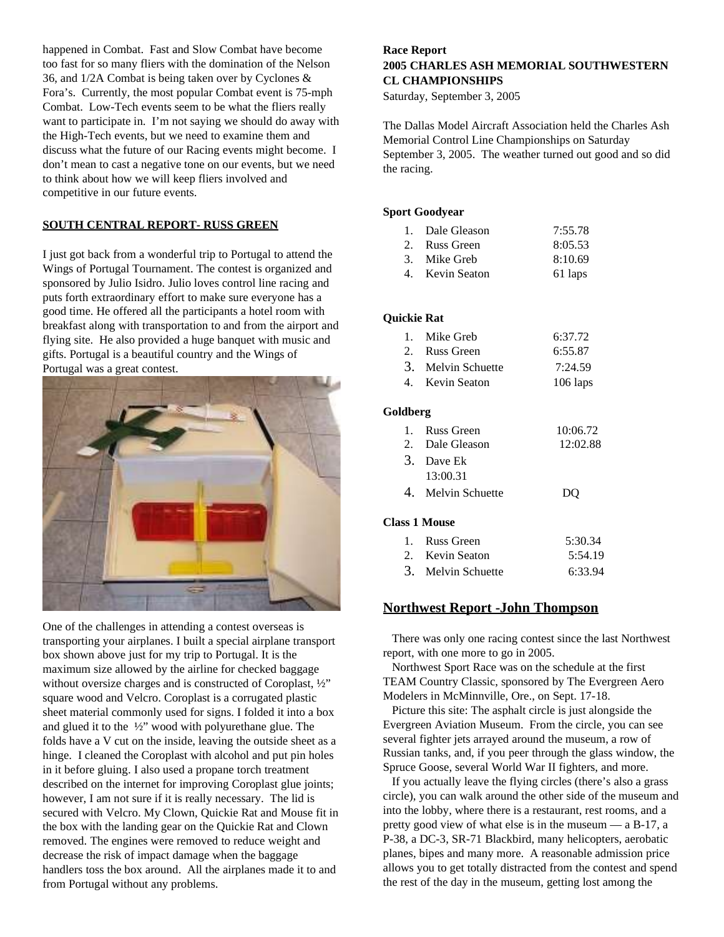happened in Combat. Fast and Slow Combat have become too fast for so many fliers with the domination of the Nelson 36, and 1/2A Combat is being taken over by Cyclones & Fora's. Currently, the most popular Combat event is 75-mph Combat. Low-Tech events seem to be what the fliers really want to participate in. I'm not saying we should do away with the High-Tech events, but we need to examine them and discuss what the future of our Racing events might become. I don't mean to cast a negative tone on our events, but we need to think about how we will keep fliers involved and competitive in our future events.

#### **SOUTH CENTRAL REPORT- RUSS GREEN**

I just got back from a wonderful trip to Portugal to attend the Wings of Portugal Tournament. The contest is organized and sponsored by Julio Isidro. Julio loves control line racing and puts forth extraordinary effort to make sure everyone has a good time. He offered all the participants a hotel room with breakfast along with transportation to and from the airport and flying site. He also provided a huge banquet with music and gifts. Portugal is a beautiful country and the Wings of Portugal was a great contest.



One of the challenges in attending a contest overseas is transporting your airplanes. I built a special airplane transport box shown above just for my trip to Portugal. It is the maximum size allowed by the airline for checked baggage without oversize charges and is constructed of Coroplast, ½" square wood and Velcro. Coroplast is a corrugated plastic sheet material commonly used for signs. I folded it into a box and glued it to the ½" wood with polyurethane glue. The folds have a V cut on the inside, leaving the outside sheet as a hinge. I cleaned the Coroplast with alcohol and put pin holes in it before gluing. I also used a propane torch treatment described on the internet for improving Coroplast glue joints; however, I am not sure if it is really necessary. The lid is secured with Velcro. My Clown, Quickie Rat and Mouse fit in the box with the landing gear on the Quickie Rat and Clown removed. The engines were removed to reduce weight and decrease the risk of impact damage when the baggage handlers toss the box around. All the airplanes made it to and from Portugal without any problems.

## **Race Report 2005 CHARLES ASH MEMORIAL SOUTHWESTERN CL CHAMPIONSHIPS**

Saturday, September 3, 2005

The Dallas Model Aircraft Association held the Charles Ash Memorial Control Line Championships on Saturday September 3, 2005. The weather turned out good and so did the racing.

#### **Sport Goodyear**

| 1. Dale Gleason | 7:55.78 |
|-----------------|---------|
| 2. Russ Green   | 8:05.53 |
| 3. Mike Greb    | 8:10.69 |
| 4. Kevin Seaton | 61 laps |

#### **Quickie Rat**

| 1. Mike Greb       | 6:37.72 |
|--------------------|---------|
| 2. Russ Green      | 6:55.87 |
| 3. Melvin Schuette | 7:24.59 |

4. Kevin Seaton 106 laps

#### **Goldberg**

| 1. Russ Green      | 10:06.72 |
|--------------------|----------|
| 2. Dale Gleason    | 12:02.88 |
| 3. Dave Ek         |          |
| 13:00.31           |          |
| 4. Melvin Schuette | DO.      |

#### **Class 1 Mouse**

| 1. Russ Green      | 5:30.34 |
|--------------------|---------|
| 2. Kevin Seaton    | 5:54.19 |
| 3. Melvin Schuette | 6:33.94 |

#### **Northwest Report -John Thompson**

There was only one racing contest since the last Northwest report, with one more to go in 2005.

Northwest Sport Race was on the schedule at the first TEAM Country Classic, sponsored by The Evergreen Aero Modelers in McMinnville, Ore., on Sept. 17-18.

Picture this site: The asphalt circle is just alongside the Evergreen Aviation Museum. From the circle, you can see several fighter jets arrayed around the museum, a row of Russian tanks, and, if you peer through the glass window, the Spruce Goose, several World War II fighters, and more.

If you actually leave the flying circles (there's also a grass circle), you can walk around the other side of the museum and into the lobby, where there is a restaurant, rest rooms, and a pretty good view of what else is in the museum — a B-17, a P-38, a DC-3, SR-71 Blackbird, many helicopters, aerobatic planes, bipes and many more. A reasonable admission price allows you to get totally distracted from the contest and spend the rest of the day in the museum, getting lost among the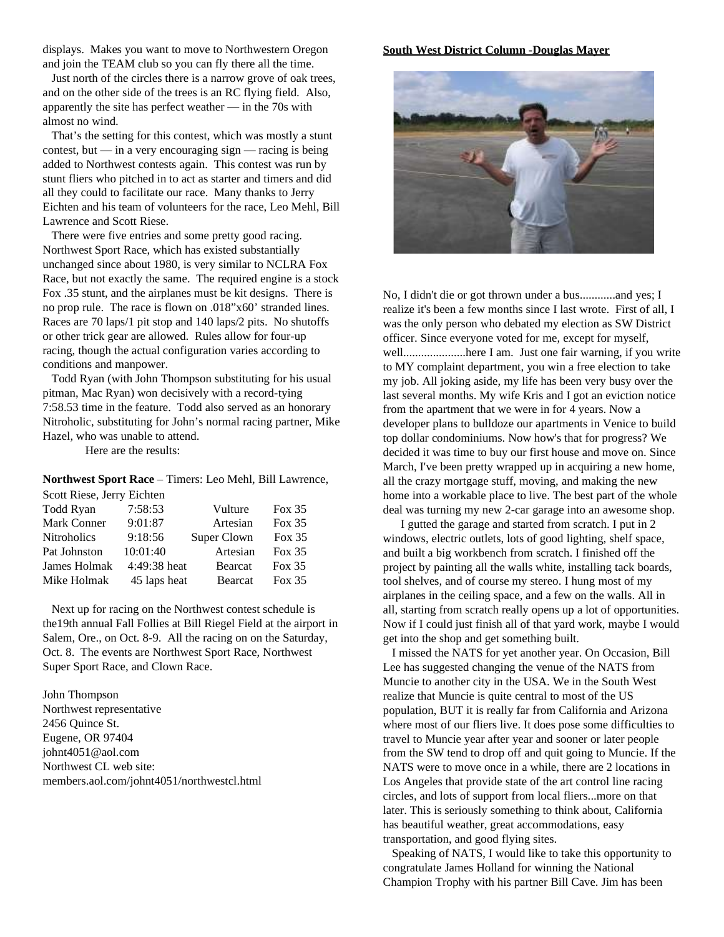displays. Makes you want to move to Northwestern Oregon and join the TEAM club so you can fly there all the time.

Just north of the circles there is a narrow grove of oak trees, and on the other side of the trees is an RC flying field. Also, apparently the site has perfect weather — in the 70s with almost no wind.

That's the setting for this contest, which was mostly a stunt contest, but — in a very encouraging sign — racing is being added to Northwest contests again. This contest was run by stunt fliers who pitched in to act as starter and timers and did all they could to facilitate our race. Many thanks to Jerry Eichten and his team of volunteers for the race, Leo Mehl, Bill Lawrence and Scott Riese.

There were five entries and some pretty good racing. Northwest Sport Race, which has existed substantially unchanged since about 1980, is very similar to NCLRA Fox Race, but not exactly the same. The required engine is a stock Fox .35 stunt, and the airplanes must be kit designs. There is no prop rule. The race is flown on .018"x60' stranded lines. Races are 70 laps/1 pit stop and 140 laps/2 pits. No shutoffs or other trick gear are allowed. Rules allow for four-up racing, though the actual configuration varies according to conditions and manpower.

Todd Ryan (with John Thompson substituting for his usual pitman, Mac Ryan) won decisively with a record-tying 7:58.53 time in the feature. Todd also served as an honorary Nitroholic, substituting for John's normal racing partner, Mike Hazel, who was unable to attend.

Here are the results:

**Northwest Sport Race** – Timers: Leo Mehl, Bill Lawrence,

| Scott Riese, Jerry Eichten |              |             |          |
|----------------------------|--------------|-------------|----------|
| Todd Ryan                  | 7:58:53      | Vulture     | Fox $35$ |
| Mark Conner                | 9:01:87      | Artesian    | Fox $35$ |
| <b>Nitroholics</b>         | 9:18:56      | Super Clown | Fox $35$ |
| Pat Johnston               | 10:01:40     | Artesian    | Fox $35$ |
| James Holmak               | 4:49:38 heat | Bearcat     | Fox $35$ |
| Mike Holmak                | 45 laps heat | Bearcat     | Fox $35$ |

Next up for racing on the Northwest contest schedule is the19th annual Fall Follies at Bill Riegel Field at the airport in Salem, Ore., on Oct. 8-9. All the racing on on the Saturday, Oct. 8. The events are Northwest Sport Race, Northwest Super Sport Race, and Clown Race.

John Thompson Northwest representative 2456 Quince St. Eugene, OR 97404 johnt4051@aol.com Northwest CL web site: members.aol.com/johnt4051/northwestcl.html

#### **South West District Column -Douglas Mayer**



No, I didn't die or got thrown under a bus............and yes; I realize it's been a few months since I last wrote. First of all, I was the only person who debated my election as SW District officer. Since everyone voted for me, except for myself, well.....................here I am. Just one fair warning, if you write to MY complaint department, you win a free election to take my job. All joking aside, my life has been very busy over the last several months. My wife Kris and I got an eviction notice from the apartment that we were in for 4 years. Now a developer plans to bulldoze our apartments in Venice to build top dollar condominiums. Now how's that for progress? We decided it was time to buy our first house and move on. Since March, I've been pretty wrapped up in acquiring a new home, all the crazy mortgage stuff, moving, and making the new home into a workable place to live. The best part of the whole deal was turning my new 2-car garage into an awesome shop.

I gutted the garage and started from scratch. I put in 2 windows, electric outlets, lots of good lighting, shelf space, and built a big workbench from scratch. I finished off the project by painting all the walls white, installing tack boards, tool shelves, and of course my stereo. I hung most of my airplanes in the ceiling space, and a few on the walls. All in all, starting from scratch really opens up a lot of opportunities. Now if I could just finish all of that yard work, maybe I would get into the shop and get something built.

I missed the NATS for yet another year. On Occasion, Bill Lee has suggested changing the venue of the NATS from Muncie to another city in the USA. We in the South West realize that Muncie is quite central to most of the US population, BUT it is really far from California and Arizona where most of our fliers live. It does pose some difficulties to travel to Muncie year after year and sooner or later people from the SW tend to drop off and quit going to Muncie. If the NATS were to move once in a while, there are 2 locations in Los Angeles that provide state of the art control line racing circles, and lots of support from local fliers...more on that later. This is seriously something to think about, California has beautiful weather, great accommodations, easy transportation, and good flying sites.

Speaking of NATS, I would like to take this opportunity to congratulate James Holland for winning the National Champion Trophy with his partner Bill Cave. Jim has been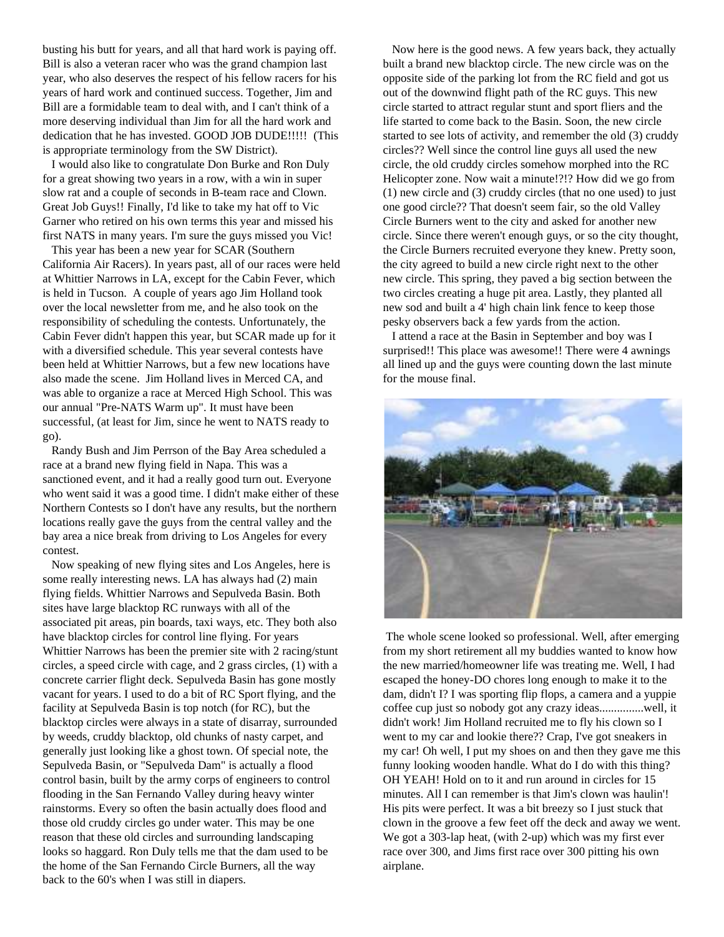busting his butt for years, and all that hard work is paying off. Bill is also a veteran racer who was the grand champion last year, who also deserves the respect of his fellow racers for his years of hard work and continued success. Together, Jim and Bill are a formidable team to deal with, and I can't think of a more deserving individual than Jim for all the hard work and dedication that he has invested. GOOD JOB DUDE!!!!! (This is appropriate terminology from the SW District).

I would also like to congratulate Don Burke and Ron Duly for a great showing two years in a row, with a win in super slow rat and a couple of seconds in B-team race and Clown. Great Job Guys!! Finally, I'd like to take my hat off to Vic Garner who retired on his own terms this year and missed his first NATS in many years. I'm sure the guys missed you Vic!

This year has been a new year for SCAR (Southern California Air Racers). In years past, all of our races were held at Whittier Narrows in LA, except for the Cabin Fever, which is held in Tucson. A couple of years ago Jim Holland took over the local newsletter from me, and he also took on the responsibility of scheduling the contests. Unfortunately, the Cabin Fever didn't happen this year, but SCAR made up for it with a diversified schedule. This year several contests have been held at Whittier Narrows, but a few new locations have also made the scene. Jim Holland lives in Merced CA, and was able to organize a race at Merced High School. This was our annual "Pre-NATS Warm up". It must have been successful, (at least for Jim, since he went to NATS ready to go).

Randy Bush and Jim Perrson of the Bay Area scheduled a race at a brand new flying field in Napa. This was a sanctioned event, and it had a really good turn out. Everyone who went said it was a good time. I didn't make either of these Northern Contests so I don't have any results, but the northern locations really gave the guys from the central valley and the bay area a nice break from driving to Los Angeles for every contest.

Now speaking of new flying sites and Los Angeles, here is some really interesting news. LA has always had (2) main flying fields. Whittier Narrows and Sepulveda Basin. Both sites have large blacktop RC runways with all of the associated pit areas, pin boards, taxi ways, etc. They both also have blacktop circles for control line flying. For years Whittier Narrows has been the premier site with 2 racing/stunt circles, a speed circle with cage, and 2 grass circles, (1) with a concrete carrier flight deck. Sepulveda Basin has gone mostly vacant for years. I used to do a bit of RC Sport flying, and the facility at Sepulveda Basin is top notch (for RC), but the blacktop circles were always in a state of disarray, surrounded by weeds, cruddy blacktop, old chunks of nasty carpet, and generally just looking like a ghost town. Of special note, the Sepulveda Basin, or "Sepulveda Dam" is actually a flood control basin, built by the army corps of engineers to control flooding in the San Fernando Valley during heavy winter rainstorms. Every so often the basin actually does flood and those old cruddy circles go under water. This may be one reason that these old circles and surrounding landscaping looks so haggard. Ron Duly tells me that the dam used to be the home of the San Fernando Circle Burners, all the way back to the 60's when I was still in diapers.

Now here is the good news. A few years back, they actually built a brand new blacktop circle. The new circle was on the opposite side of the parking lot from the RC field and got us out of the downwind flight path of the RC guys. This new circle started to attract regular stunt and sport fliers and the life started to come back to the Basin. Soon, the new circle started to see lots of activity, and remember the old (3) cruddy circles?? Well since the control line guys all used the new circle, the old cruddy circles somehow morphed into the RC Helicopter zone. Now wait a minute!?!? How did we go from (1) new circle and (3) cruddy circles (that no one used) to just one good circle?? That doesn't seem fair, so the old Valley Circle Burners went to the city and asked for another new circle. Since there weren't enough guys, or so the city thought, the Circle Burners recruited everyone they knew. Pretty soon, the city agreed to build a new circle right next to the other new circle. This spring, they paved a big section between the two circles creating a huge pit area. Lastly, they planted all new sod and built a 4' high chain link fence to keep those pesky observers back a few yards from the action.

I attend a race at the Basin in September and boy was I surprised!! This place was awesome!! There were 4 awnings all lined up and the guys were counting down the last minute for the mouse final.



The whole scene looked so professional. Well, after emerging from my short retirement all my buddies wanted to know how the new married/homeowner life was treating me. Well, I had escaped the honey-DO chores long enough to make it to the dam, didn't I? I was sporting flip flops, a camera and a yuppie coffee cup just so nobody got any crazy ideas...............well, it didn't work! Jim Holland recruited me to fly his clown so I went to my car and lookie there?? Crap, I've got sneakers in my car! Oh well, I put my shoes on and then they gave me this funny looking wooden handle. What do I do with this thing? OH YEAH! Hold on to it and run around in circles for 15 minutes. All I can remember is that Jim's clown was haulin'! His pits were perfect. It was a bit breezy so I just stuck that clown in the groove a few feet off the deck and away we went. We got a 303-lap heat, (with 2-up) which was my first ever race over 300, and Jims first race over 300 pitting his own airplane.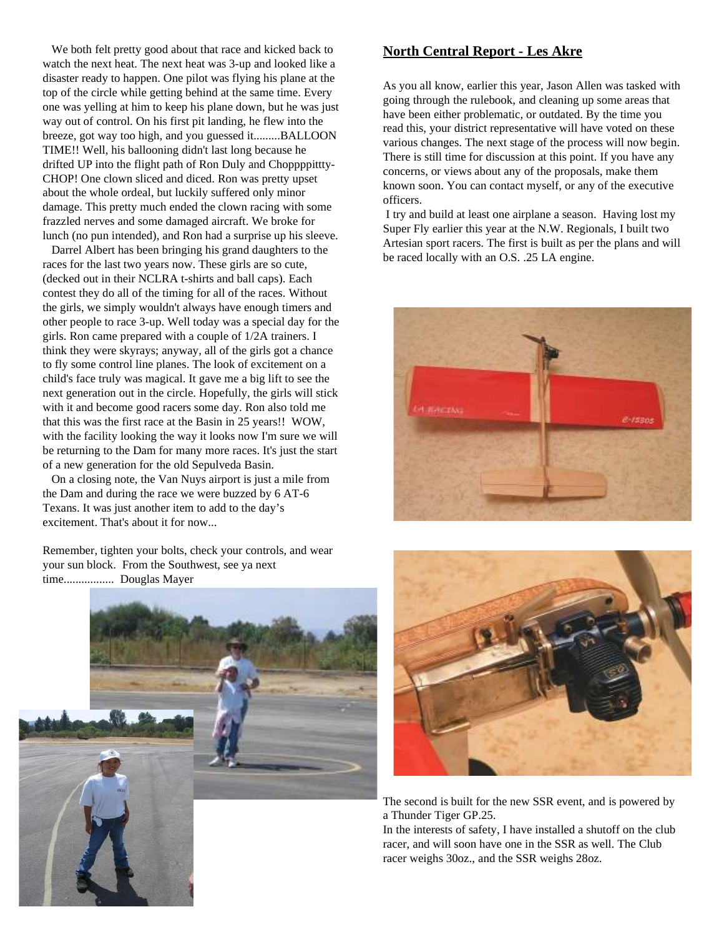We both felt pretty good about that race and kicked back to watch the next heat. The next heat was 3-up and looked like a disaster ready to happen. One pilot was flying his plane at the top of the circle while getting behind at the same time. Every one was yelling at him to keep his plane down, but he was just way out of control. On his first pit landing, he flew into the breeze, got way too high, and you guessed it.........BALLOON TIME!! Well, his ballooning didn't last long because he drifted UP into the flight path of Ron Duly and Choppppittty-CHOP! One clown sliced and diced. Ron was pretty upset about the whole ordeal, but luckily suffered only minor damage. This pretty much ended the clown racing with some frazzled nerves and some damaged aircraft. We broke for lunch (no pun intended), and Ron had a surprise up his sleeve.

Darrel Albert has been bringing his grand daughters to the races for the last two years now. These girls are so cute, (decked out in their NCLRA t-shirts and ball caps). Each contest they do all of the timing for all of the races. Without the girls, we simply wouldn't always have enough timers and other people to race 3-up. Well today was a special day for the girls. Ron came prepared with a couple of 1/2A trainers. I think they were skyrays; anyway, all of the girls got a chance to fly some control line planes. The look of excitement on a child's face truly was magical. It gave me a big lift to see the next generation out in the circle. Hopefully, the girls will stick with it and become good racers some day. Ron also told me that this was the first race at the Basin in 25 years!! WOW, with the facility looking the way it looks now I'm sure we will be returning to the Dam for many more races. It's just the start of a new generation for the old Sepulveda Basin.

On a closing note, the Van Nuys airport is just a mile from the Dam and during the race we were buzzed by 6 AT-6 Texans. It was just another item to add to the day's excitement. That's about it for now...

Remember, tighten your bolts, check your controls, and wear your sun block. From the Southwest, see ya next time................. Douglas Mayer



## **North Central Report - Les Akre**

As you all know, earlier this year, Jason Allen was tasked with going through the rulebook, and cleaning up some areas that have been either problematic, or outdated. By the time you read this, your district representative will have voted on these various changes. The next stage of the process will now begin. There is still time for discussion at this point. If you have any concerns, or views about any of the proposals, make them known soon. You can contact myself, or any of the executive officers.

I try and build at least one airplane a season. Having lost my Super Fly earlier this year at the N.W. Regionals, I built two Artesian sport racers. The first is built as per the plans and will be raced locally with an O.S. .25 LA engine.





The second is built for the new SSR event, and is powered by a Thunder Tiger GP.25.

In the interests of safety, I have installed a shutoff on the club racer, and will soon have one in the SSR as well. The Club racer weighs 30oz., and the SSR weighs 28oz.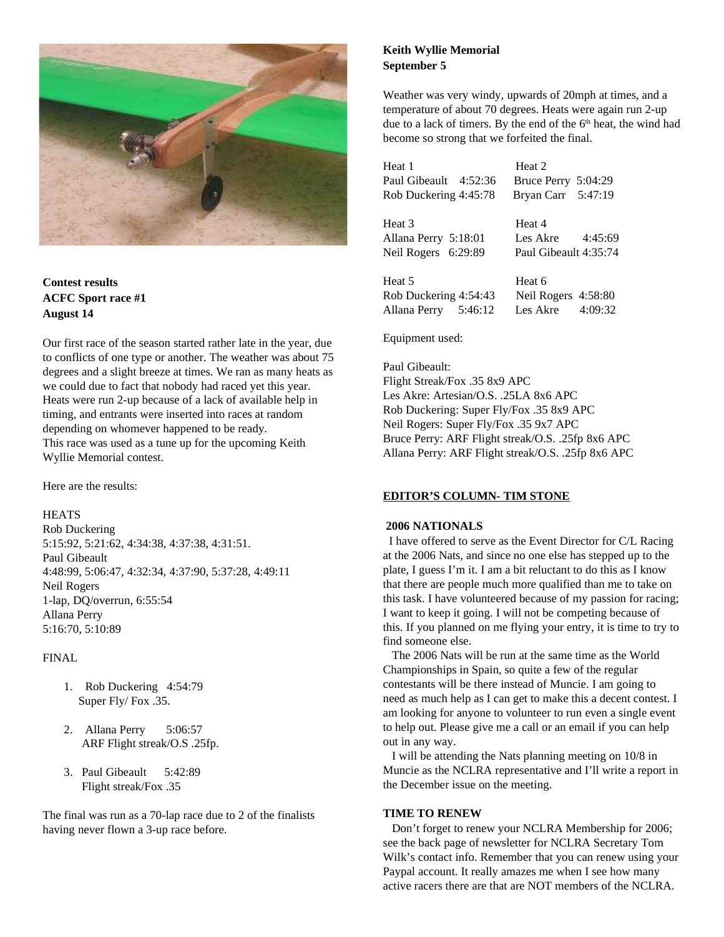

**Contest results ACFC Sport race #1 August 14**

Our first race of the season started rather late in the year, due to conflicts of one type or another. The weather was about 75 degrees and a slight breeze at times. We ran as many heats as we could due to fact that nobody had raced yet this year. Heats were run 2-up because of a lack of available help in timing, and entrants were inserted into races at random depending on whomever happened to be ready. This race was used as a tune up for the upcoming Keith Wyllie Memorial contest.

Here are the results:

#### **HEATS**

Rob Duckering 5:15:92, 5:21:62, 4:34:38, 4:37:38, 4:31:51. Paul Gibeault 4:48:99, 5:06:47, 4:32:34, 4:37:90, 5:37:28, 4:49:11 Neil Rogers 1-lap, DQ/overrun, 6:55:54 Allana Perry 5:16:70, 5:10:89

#### FINAL

- 1. Rob Duckering 4:54:79 Super Fly/ Fox .35.
- 2. Allana Perry 5:06:57 ARF Flight streak/O.S .25fp.
- 3. Paul Gibeault 5:42:89 Flight streak/Fox .35

The final was run as a 70-lap race due to 2 of the finalists having never flown a 3-up race before.

#### **Keith Wyllie Memorial September 5**

Weather was very windy, upwards of 20mph at times, and a temperature of about 70 degrees. Heats were again run 2-up due to a lack of timers. By the end of the 6<sup>th</sup> heat, the wind had become so strong that we forfeited the final.

Heat 1 Heat 2 Paul Gibeault 4:52:36 Bruce Perry 5:04:29 Rob Duckering 4:45:78 Bryan Carr 5:47:19

Heat 3 Heat 4 Allana Perry 5:18:01 Les Akre 4:45:69 Neil Rogers 6:29:89 Paul Gibeault 4:35:74

Heat 5 Heat 6 Rob Duckering 4:54:43 Neil Rogers 4:58:80 Allana Perry 5:46:12 Les Akre 4:09:32

Equipment used:

Paul Gibeault: Flight Streak/Fox .35 8x9 APC Les Akre: Artesian/O.S. .25LA 8x6 APC Rob Duckering: Super Fly/Fox .35 8x9 APC Neil Rogers: Super Fly/Fox .35 9x7 APC Bruce Perry: ARF Flight streak/O.S. .25fp 8x6 APC Allana Perry: ARF Flight streak/O.S. .25fp 8x6 APC

#### **EDITOR'S COLUMN- TIM STONE**

#### **2006 NATIONALS**

I have offered to serve as the Event Director for C/L Racing at the 2006 Nats, and since no one else has stepped up to the plate, I guess I'm it. I am a bit reluctant to do this as I know that there are people much more qualified than me to take on this task. I have volunteered because of my passion for racing; I want to keep it going. I will not be competing because of this. If you planned on me flying your entry, it is time to try to find someone else.

The 2006 Nats will be run at the same time as the World Championships in Spain, so quite a few of the regular contestants will be there instead of Muncie. I am going to need as much help as I can get to make this a decent contest. I am looking for anyone to volunteer to run even a single event to help out. Please give me a call or an email if you can help out in any way.

I will be attending the Nats planning meeting on 10/8 in Muncie as the NCLRA representative and I'll write a report in the December issue on the meeting.

#### **TIME TO RENEW**

Don't forget to renew your NCLRA Membership for 2006; see the back page of newsletter for NCLRA Secretary Tom Wilk's contact info. Remember that you can renew using your Paypal account. It really amazes me when I see how many active racers there are that are NOT members of the NCLRA.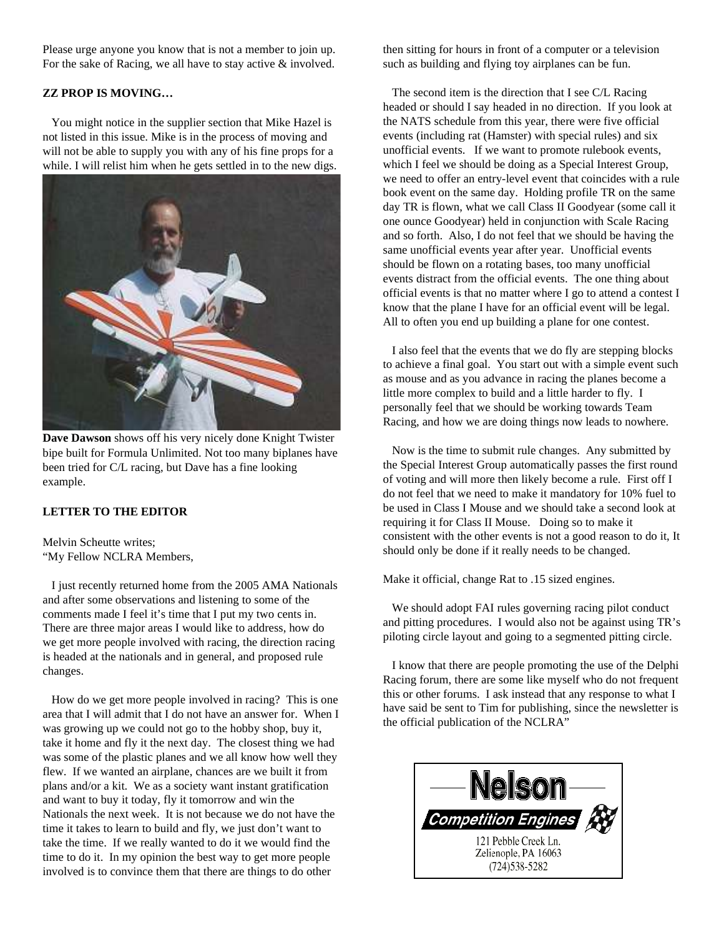Please urge anyone you know that is not a member to join up. For the sake of Racing, we all have to stay active & involved.

#### **ZZ PROP IS MOVING…**

You might notice in the supplier section that Mike Hazel is not listed in this issue. Mike is in the process of moving and will not be able to supply you with any of his fine props for a while. I will relist him when he gets settled in to the new digs.



**Dave Dawson** shows off his very nicely done Knight Twister bipe built for Formula Unlimited. Not too many biplanes have been tried for C/L racing, but Dave has a fine looking example.

#### **LETTER TO THE EDITOR**

Melvin Scheutte writes; "My Fellow NCLRA Members,

I just recently returned home from the 2005 AMA Nationals and after some observations and listening to some of the comments made I feel it's time that I put my two cents in. There are three major areas I would like to address, how do we get more people involved with racing, the direction racing is headed at the nationals and in general, and proposed rule changes.

How do we get more people involved in racing? This is one area that I will admit that I do not have an answer for. When I was growing up we could not go to the hobby shop, buy it, take it home and fly it the next day. The closest thing we had was some of the plastic planes and we all know how well they flew. If we wanted an airplane, chances are we built it from plans and/or a kit. We as a society want instant gratification and want to buy it today, fly it tomorrow and win the Nationals the next week. It is not because we do not have the time it takes to learn to build and fly, we just don't want to take the time. If we really wanted to do it we would find the time to do it. In my opinion the best way to get more people involved is to convince them that there are things to do other

then sitting for hours in front of a computer or a television such as building and flying toy airplanes can be fun.

The second item is the direction that I see C/L Racing headed or should I say headed in no direction. If you look at the NATS schedule from this year, there were five official events (including rat (Hamster) with special rules) and six unofficial events. If we want to promote rulebook events, which I feel we should be doing as a Special Interest Group, we need to offer an entry-level event that coincides with a rule book event on the same day. Holding profile TR on the same day TR is flown, what we call Class II Goodyear (some call it one ounce Goodyear) held in conjunction with Scale Racing and so forth. Also, I do not feel that we should be having the same unofficial events year after year. Unofficial events should be flown on a rotating bases, too many unofficial events distract from the official events. The one thing about official events is that no matter where I go to attend a contest I know that the plane I have for an official event will be legal. All to often you end up building a plane for one contest.

I also feel that the events that we do fly are stepping blocks to achieve a final goal. You start out with a simple event such as mouse and as you advance in racing the planes become a little more complex to build and a little harder to fly. I personally feel that we should be working towards Team Racing, and how we are doing things now leads to nowhere.

Now is the time to submit rule changes. Any submitted by the Special Interest Group automatically passes the first round of voting and will more then likely become a rule. First off I do not feel that we need to make it mandatory for 10% fuel to be used in Class I Mouse and we should take a second look at requiring it for Class II Mouse. Doing so to make it consistent with the other events is not a good reason to do it, It should only be done if it really needs to be changed.

Make it official, change Rat to .15 sized engines.

We should adopt FAI rules governing racing pilot conduct and pitting procedures. I would also not be against using TR's piloting circle layout and going to a segmented pitting circle.

I know that there are people promoting the use of the Delphi Racing forum, there are some like myself who do not frequent this or other forums. I ask instead that any response to what I have said be sent to Tim for publishing, since the newsletter is the official publication of the NCLRA"

| <b>Competition Engines</b>                                     |
|----------------------------------------------------------------|
| 121 Pebble Creek Ln.<br>Zelienople, PA 16063<br>(724) 538-5282 |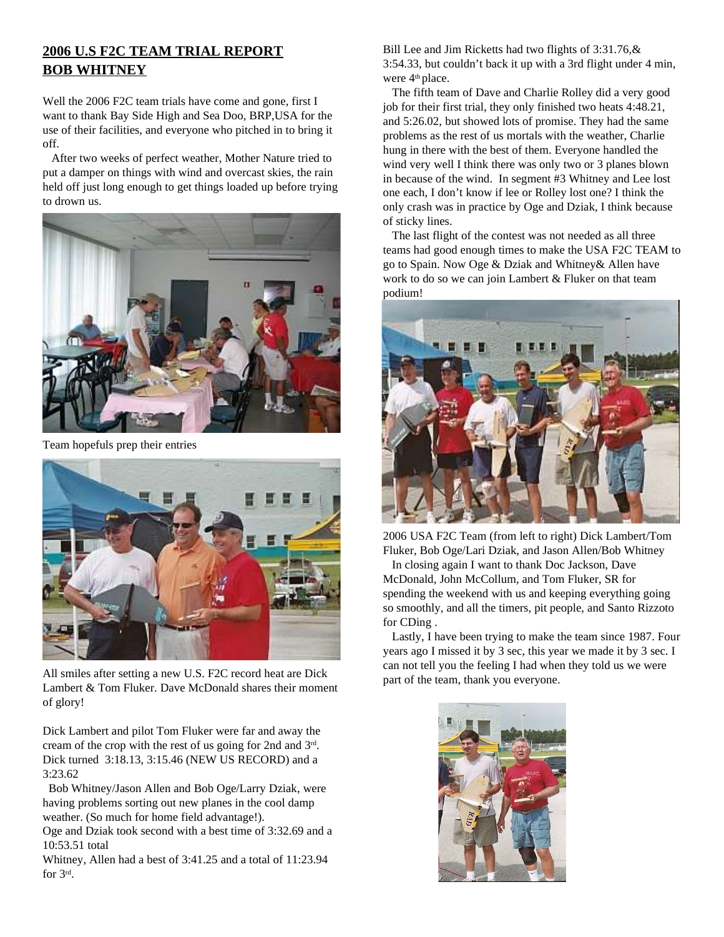## **2006 U.S F2C TEAM TRIAL REPORT BOB WHITNEY**

Well the 2006 F2C team trials have come and gone, first I want to thank Bay Side High and Sea Doo, BRP,USA for the use of their facilities, and everyone who pitched in to bring it off.

After two weeks of perfect weather, Mother Nature tried to put a damper on things with wind and overcast skies, the rain held off just long enough to get things loaded up before trying to drown us.



Team hopefuls prep their entries



All smiles after setting a new U.S. F2C record heat are Dick Lambert & Tom Fluker. Dave McDonald shares their moment of glory!

Dick Lambert and pilot Tom Fluker were far and away the cream of the crop with the rest of us going for 2nd and 3<sup>rd</sup>. Dick turned 3:18.13, 3:15.46 (NEW US RECORD) and a 3:23.62

Bob Whitney/Jason Allen and Bob Oge/Larry Dziak, were having problems sorting out new planes in the cool damp weather. (So much for home field advantage!).

Oge and Dziak took second with a best time of 3:32.69 and a 10:53.51 total

Whitney, Allen had a best of 3:41.25 and a total of 11:23.94 for 3<sup>rd</sup>.

Bill Lee and Jim Ricketts had two flights of 3:31.76,& 3:54.33, but couldn't back it up with a 3rd flight under 4 min, were 4<sup>th</sup> place.

The fifth team of Dave and Charlie Rolley did a very good job for their first trial, they only finished two heats 4:48.21, and 5:26.02, but showed lots of promise. They had the same problems as the rest of us mortals with the weather, Charlie hung in there with the best of them. Everyone handled the wind very well I think there was only two or 3 planes blown in because of the wind. In segment #3 Whitney and Lee lost one each, I don't know if lee or Rolley lost one? I think the only crash was in practice by Oge and Dziak, I think because of sticky lines.

The last flight of the contest was not needed as all three teams had good enough times to make the USA F2C TEAM to go to Spain. Now Oge & Dziak and Whitney& Allen have work to do so we can join Lambert & Fluker on that team podium!



2006 USA F2C Team (from left to right) Dick Lambert/Tom Fluker, Bob Oge/Lari Dziak, and Jason Allen/Bob Whitney

In closing again I want to thank Doc Jackson, Dave McDonald, John McCollum, and Tom Fluker, SR for spending the weekend with us and keeping everything going so smoothly, and all the timers, pit people, and Santo Rizzoto for CDing .

Lastly, I have been trying to make the team since 1987. Four years ago I missed it by 3 sec, this year we made it by 3 sec. I can not tell you the feeling I had when they told us we were part of the team, thank you everyone.

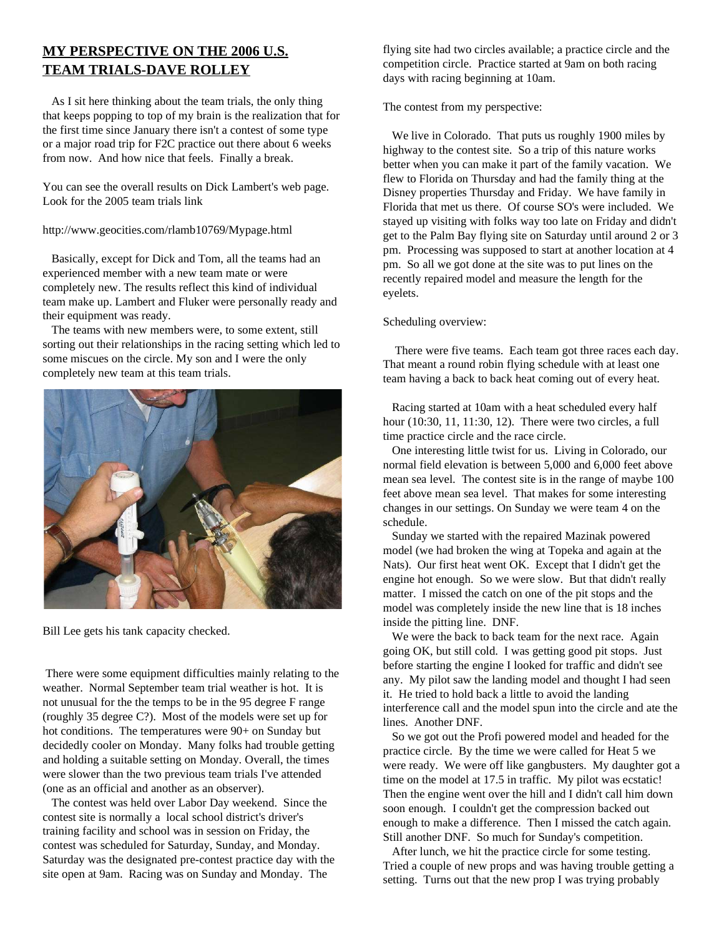## **MY PERSPECTIVE ON THE 2006 U.S. TEAM TRIALS-DAVE ROLLEY**

As I sit here thinking about the team trials, the only thing that keeps popping to top of my brain is the realization that for the first time since January there isn't a contest of some type or a major road trip for F2C practice out there about 6 weeks from now. And how nice that feels. Finally a break.

You can see the overall results on Dick Lambert's web page. Look for the 2005 team trials link

http://www.geocities.com/rlamb10769/Mypage.html

Basically, except for Dick and Tom, all the teams had an experienced member with a new team mate or were completely new. The results reflect this kind of individual team make up. Lambert and Fluker were personally ready and their equipment was ready.

The teams with new members were, to some extent, still sorting out their relationships in the racing setting which led to some miscues on the circle. My son and I were the only completely new team at this team trials.



Bill Lee gets his tank capacity checked.

There were some equipment difficulties mainly relating to the weather. Normal September team trial weather is hot. It is not unusual for the the temps to be in the 95 degree F range (roughly 35 degree C?). Most of the models were set up for hot conditions. The temperatures were 90+ on Sunday but decidedly cooler on Monday. Many folks had trouble getting and holding a suitable setting on Monday. Overall, the times were slower than the two previous team trials I've attended (one as an official and another as an observer).

The contest was held over Labor Day weekend. Since the contest site is normally a local school district's driver's training facility and school was in session on Friday, the contest was scheduled for Saturday, Sunday, and Monday. Saturday was the designated pre-contest practice day with the site open at 9am. Racing was on Sunday and Monday. The

flying site had two circles available; a practice circle and the competition circle. Practice started at 9am on both racing days with racing beginning at 10am.

The contest from my perspective:

We live in Colorado. That puts us roughly 1900 miles by highway to the contest site. So a trip of this nature works better when you can make it part of the family vacation. We flew to Florida on Thursday and had the family thing at the Disney properties Thursday and Friday. We have family in Florida that met us there. Of course SO's were included. We stayed up visiting with folks way too late on Friday and didn't get to the Palm Bay flying site on Saturday until around 2 or 3 pm. Processing was supposed to start at another location at 4 pm. So all we got done at the site was to put lines on the recently repaired model and measure the length for the eyelets.

#### Scheduling overview:

There were five teams. Each team got three races each day. That meant a round robin flying schedule with at least one team having a back to back heat coming out of every heat.

Racing started at 10am with a heat scheduled every half hour (10:30, 11, 11:30, 12). There were two circles, a full time practice circle and the race circle.

One interesting little twist for us. Living in Colorado, our normal field elevation is between 5,000 and 6,000 feet above mean sea level. The contest site is in the range of maybe 100 feet above mean sea level. That makes for some interesting changes in our settings. On Sunday we were team 4 on the schedule.

Sunday we started with the repaired Mazinak powered model (we had broken the wing at Topeka and again at the Nats). Our first heat went OK. Except that I didn't get the engine hot enough. So we were slow. But that didn't really matter. I missed the catch on one of the pit stops and the model was completely inside the new line that is 18 inches inside the pitting line. DNF.

We were the back to back team for the next race. Again going OK, but still cold. I was getting good pit stops. Just before starting the engine I looked for traffic and didn't see any. My pilot saw the landing model and thought I had seen it. He tried to hold back a little to avoid the landing interference call and the model spun into the circle and ate the lines. Another DNF.

So we got out the Profi powered model and headed for the practice circle. By the time we were called for Heat 5 we were ready. We were off like gangbusters. My daughter got a time on the model at 17.5 in traffic. My pilot was ecstatic! Then the engine went over the hill and I didn't call him down soon enough. I couldn't get the compression backed out enough to make a difference. Then I missed the catch again. Still another DNF. So much for Sunday's competition.

After lunch, we hit the practice circle for some testing. Tried a couple of new props and was having trouble getting a setting. Turns out that the new prop I was trying probably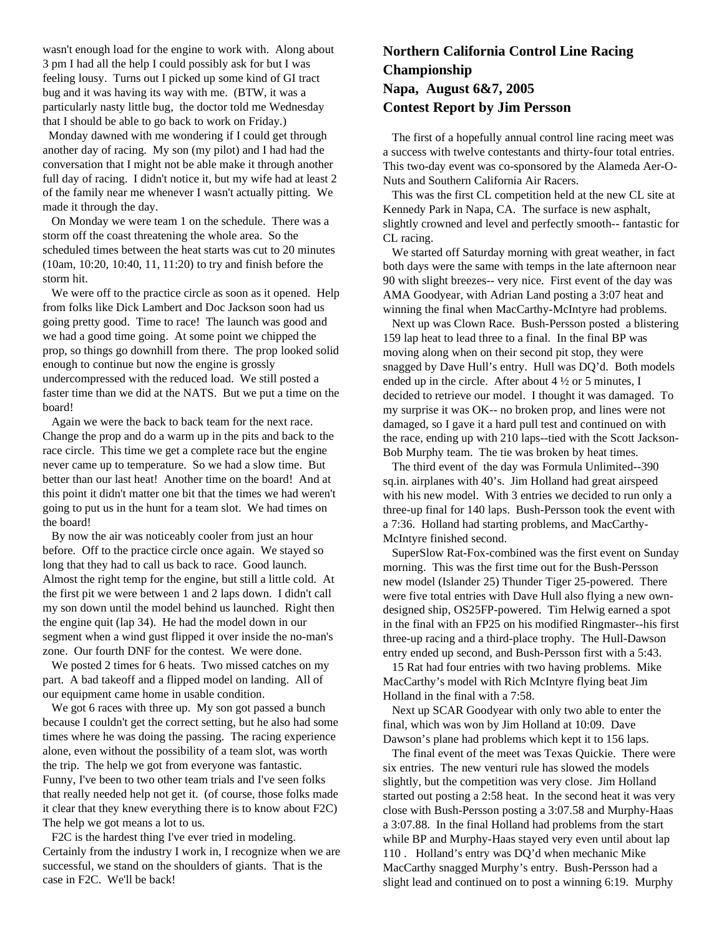wasn't enough load for the engine to work with. Along about 3 pm I had all the help I could possibly ask for but I was feeling lousy. Turns out I picked up some kind of GI tract bug and it was having its way with me. (BTW, it was a particularly nasty little bug, the doctor told me Wednesday that I should be able to go back to work on Friday.)

Monday dawned with me wondering if I could get through another day of racing. My son (my pilot) and I had had the conversation that I might not be able make it through another full day of racing. I didn't notice it, but my wife had at least 2 of the family near me whenever I wasn't actually pitting. We made it through the day.

On Monday we were team 1 on the schedule. There was a storm off the coast threatening the whole area. So the scheduled times between the heat starts was cut to 20 minutes (10am, 10:20, 10:40, 11, 11:20) to try and finish before the storm hit.

We were off to the practice circle as soon as it opened. Help from folks like Dick Lambert and Doc Jackson soon had us going pretty good. Time to race! The launch was good and we had a good time going. At some point we chipped the prop, so things go downhill from there. The prop looked solid enough to continue but now the engine is grossly undercompressed with the reduced load. We still posted a faster time than we did at the NATS. But we put a time on the board!

Again we were the back to back team for the next race. Change the prop and do a warm up in the pits and back to the race circle. This time we get a complete race but the engine never came up to temperature. So we had a slow time. But better than our last heat! Another time on the board! And at this point it didn't matter one bit that the times we had weren't going to put us in the hunt for a team slot. We had times on the board!

By now the air was noticeably cooler from just an hour before. Off to the practice circle once again. We stayed so long that they had to call us back to race. Good launch. Almost the right temp for the engine, but still a little cold. At the first pit we were between 1 and 2 laps down. I didn't call my son down until the model behind us launched. Right then the engine quit (lap 34). He had the model down in our segment when a wind gust flipped it over inside the no-man's zone. Our fourth DNF for the contest. We were done.

We posted 2 times for 6 heats. Two missed catches on my part. A bad takeoff and a flipped model on landing. All of our equipment came home in usable condition.

We got 6 races with three up. My son got passed a bunch because I couldn't get the correct setting, but he also had some times where he was doing the passing. The racing experience alone, even without the possibility of a team slot, was worth the trip. The help we got from everyone was fantastic. Funny, I've been to two other team trials and I've seen folks that really needed help not get it. (of course, those folks made it clear that they knew everything there is to know about F2C) The help we got means a lot to us.

F2C is the hardest thing I've ever tried in modeling. Certainly from the industry I work in, I recognize when we are successful, we stand on the shoulders of giants. That is the case in F2C. We'll be back!

## **Northern California Control Line Racing Championship Napa, August 6&7, 2005 Contest Report by Jim Persson**

The first of a hopefully annual control line racing meet was a success with twelve contestants and thirty-four total entries. This two-day event was co-sponsored by the Alameda Aer-O-Nuts and Southern California Air Racers.

This was the first CL competition held at the new CL site at Kennedy Park in Napa, CA. The surface is new asphalt, slightly crowned and level and perfectly smooth-- fantastic for CL racing.

We started off Saturday morning with great weather, in fact both days were the same with temps in the late afternoon near 90 with slight breezes-- very nice. First event of the day was AMA Goodyear, with Adrian Land posting a 3:07 heat and winning the final when MacCarthy-McIntyre had problems.

Next up was Clown Race. Bush-Persson posted a blistering 159 lap heat to lead three to a final. In the final BP was moving along when on their second pit stop, they were snagged by Dave Hull's entry. Hull was DQ'd. Both models ended up in the circle. After about  $4\frac{1}{2}$  or 5 minutes, I decided to retrieve our model. I thought it was damaged. To my surprise it was OK-- no broken prop, and lines were not damaged, so I gave it a hard pull test and continued on with the race, ending up with 210 laps--tied with the Scott Jackson-Bob Murphy team. The tie was broken by heat times.

The third event of the day was Formula Unlimited--390 sq.in. airplanes with 40's. Jim Holland had great airspeed with his new model. With 3 entries we decided to run only a three-up final for 140 laps. Bush-Persson took the event with a 7:36. Holland had starting problems, and MacCarthy-McIntyre finished second.

SuperSlow Rat-Fox-combined was the first event on Sunday morning. This was the first time out for the Bush-Persson new model (Islander 25) Thunder Tiger 25-powered. There were five total entries with Dave Hull also flying a new owndesigned ship, OS25FP-powered. Tim Helwig earned a spot in the final with an FP25 on his modified Ringmaster--his first three-up racing and a third-place trophy. The Hull-Dawson entry ended up second, and Bush-Persson first with a 5:43.

15 Rat had four entries with two having problems. Mike MacCarthy's model with Rich McIntyre flying beat Jim Holland in the final with a 7:58.

Next up SCAR Goodyear with only two able to enter the final, which was won by Jim Holland at 10:09. Dave Dawson's plane had problems which kept it to 156 laps.

The final event of the meet was Texas Quickie. There were six entries. The new venturi rule has slowed the models slightly, but the competition was very close. Jim Holland started out posting a 2:58 heat. In the second heat it was very close with Bush-Persson posting a 3:07.58 and Murphy-Haas a 3:07.88. In the final Holland had problems from the start while BP and Murphy-Haas stayed very even until about lap 110 . Holland's entry was DQ'd when mechanic Mike MacCarthy snagged Murphy's entry. Bush-Persson had a slight lead and continued on to post a winning 6:19. Murphy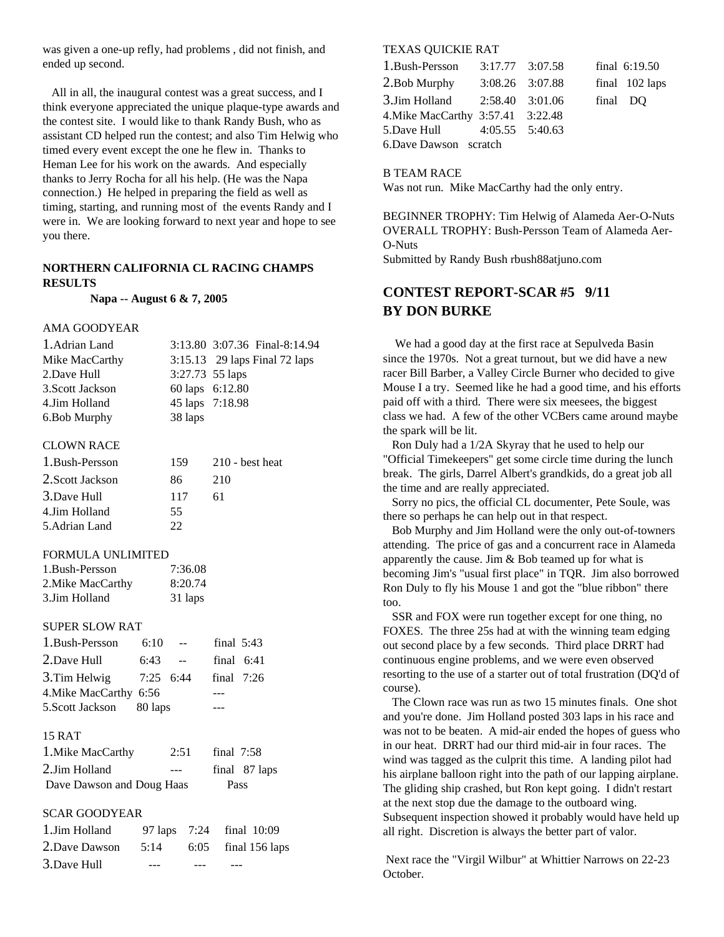was given a one-up refly, had problems , did not finish, and ended up second.

All in all, the inaugural contest was a great success, and I think everyone appreciated the unique plaque-type awards and the contest site. I would like to thank Randy Bush, who as assistant CD helped run the contest; and also Tim Helwig who timed every event except the one he flew in. Thanks to Heman Lee for his work on the awards. And especially thanks to Jerry Rocha for all his help. (He was the Napa connection.) He helped in preparing the field as well as timing, starting, and running most of the events Randy and I were in. We are looking forward to next year and hope to see you there.

#### **NORTHERN CALIFORNIA CL RACING CHAMPS RESULTS**

**Napa -- August 6 & 7, 2005**

#### AMA GOODYEAR

| 1. Adrian Land   |                 | 3:13.80 3:07.36 Final-8:14.94 |
|------------------|-----------------|-------------------------------|
| Mike MacCarthy   |                 | 3:15.13 29 laps Final 72 laps |
| 2.Dave Hull      | 3:27.73 55 laps |                               |
| 3. Scott Jackson | 60 laps 6:12.80 |                               |
| 4.Jim Holland    | 45 laps 7:18.98 |                               |
| 6. Bob Murphy    | 38 laps         |                               |

#### CLOWN RACE

| 1. Bush-Persson  | 159. | $210$ - best heat |
|------------------|------|-------------------|
| 2. Scott Jackson | 86   | 210               |
| 3.Dave Hull      | 117  | 61                |
| 4.Jim Holland    | 55   |                   |
| 5. Adrian Land   | つつ   |                   |

#### FORMULA UNLIMITED

| 1.Bush-Persson   | 7:36.08 |
|------------------|---------|
| 2.Mike MacCarthy | 8:20.74 |
| 3.Jim Holland    | 31 laps |

#### SUPER SLOW RAT

| 1. Bush-Persson          | 6:10        | $\sim$ $\sim$ | final $5:43$ |              |
|--------------------------|-------------|---------------|--------------|--------------|
| 2.Dave Hull              | 6:43        | $-$           |              | final $6:41$ |
| 3. Tim Helwig            | $7:25$ 6:44 |               | final $7:26$ |              |
| 4. Mike MacCarthy 6:56   |             |               |              |              |
| 5. Scott Jackson 80 laps |             |               |              |              |
|                          |             |               |              |              |

#### 15 RAT

| 1. Mike MacCarthy         | 2:51 | final $7:58$ |               |
|---------------------------|------|--------------|---------------|
| 2.Jim Holland             |      |              | final 87 laps |
| Dave Dawson and Doug Haas |      | Pass         |               |

#### SCAR GOODYEAR

| 1.Jim Holland |  | 97 laps 7:24 final 10:09   |
|---------------|--|----------------------------|
| 2.Dave Dawson |  | 5:14 $6:05$ final 156 laps |
| 3.Dave Hull   |  |                            |

#### TEXAS QUICKIE RAT

| 1. Bush-Persson                   | $3:17.77$ $3:07.58$ |          | final 6:19.50  |
|-----------------------------------|---------------------|----------|----------------|
| 2. Bob Murphy                     | 3:08.26 3:07.88     |          | final 102 laps |
| 3.Jim Holland 2:58.40 3:01.06     |                     | final DO |                |
| 4. Mike MacCarthy 3:57.41 3:22.48 |                     |          |                |
| 5. Dave Hull 4:05.55 5:40.63      |                     |          |                |
| 6.Dave Dawson scratch             |                     |          |                |

#### B TEAM RACE

Was not run. Mike MacCarthy had the only entry.

BEGINNER TROPHY: Tim Helwig of Alameda Aer-O-Nuts OVERALL TROPHY: Bush-Persson Team of Alameda Aer-O-Nuts

Submitted by Randy Bush rbush88atjuno.com

## **CONTEST REPORT-SCAR #5 9/11 BY DON BURKE**

We had a good day at the first race at Sepulveda Basin since the 1970s. Not a great turnout, but we did have a new racer Bill Barber, a Valley Circle Burner who decided to give Mouse I a try. Seemed like he had a good time, and his efforts paid off with a third. There were six meesees, the biggest class we had. A few of the other VCBers came around maybe the spark will be lit.

Ron Duly had a 1/2A Skyray that he used to help our "Official Timekeepers" get some circle time during the lunch break. The girls, Darrel Albert's grandkids, do a great job all the time and are really appreciated.

Sorry no pics, the official CL documenter, Pete Soule, was there so perhaps he can help out in that respect.

Bob Murphy and Jim Holland were the only out-of-towners attending. The price of gas and a concurrent race in Alameda apparently the cause. Jim & Bob teamed up for what is becoming Jim's "usual first place" in TQR. Jim also borrowed Ron Duly to fly his Mouse 1 and got the "blue ribbon" there too.

SSR and FOX were run together except for one thing, no FOXES. The three 25s had at with the winning team edging out second place by a few seconds. Third place DRRT had continuous engine problems, and we were even observed resorting to the use of a starter out of total frustration (DQ'd of course).

The Clown race was run as two 15 minutes finals. One shot and you're done. Jim Holland posted 303 laps in his race and was not to be beaten. A mid-air ended the hopes of guess who in our heat. DRRT had our third mid-air in four races. The wind was tagged as the culprit this time. A landing pilot had his airplane balloon right into the path of our lapping airplane. The gliding ship crashed, but Ron kept going. I didn't restart at the next stop due the damage to the outboard wing. Subsequent inspection showed it probably would have held up all right. Discretion is always the better part of valor.

Next race the "Virgil Wilbur" at Whittier Narrows on 22-23 October.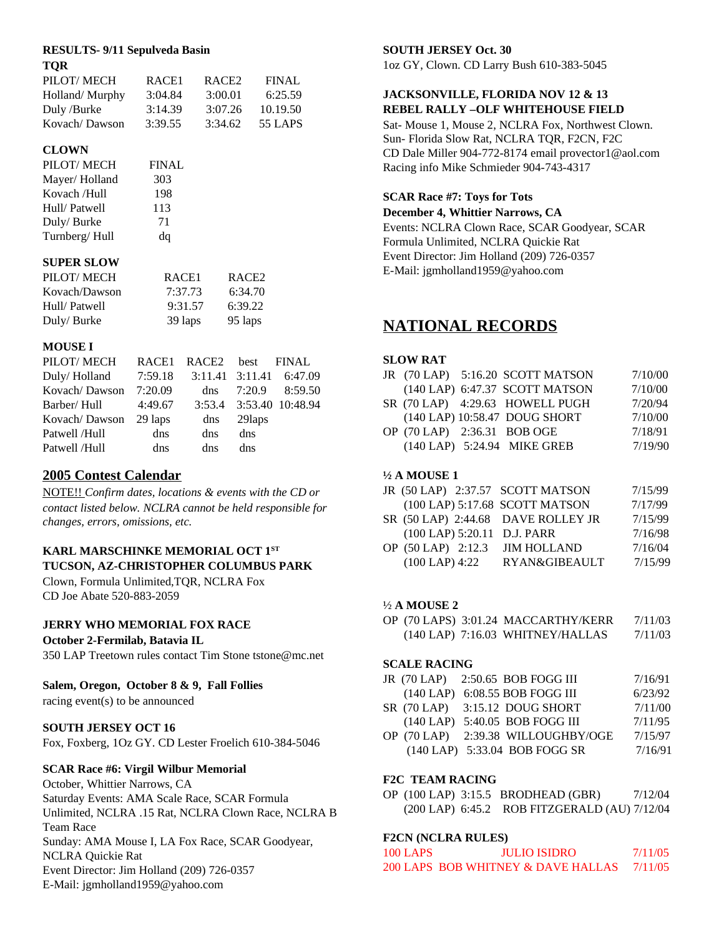#### **RESULTS- 9/11 Sepulveda Basin TQR**

| PILOT/MECH     | RACE <sub>1</sub> | RACE <sub>2</sub> | <b>FINAL</b> |
|----------------|-------------------|-------------------|--------------|
| Holland/Murphy | 3:04.84           | 3:00.01           | 6:25.59      |
| Duly /Burke    | 3:14.39           | 3:07.26           | 10.19.50     |
| Kovach/Dawson  | 3:39.55           | 3:34.62           | 55 LAPS      |
|                |                   |                   |              |

#### **CLOWN**

| PILOT/MECH    | <b>FINAL</b> |
|---------------|--------------|
| Mayer/Holland | 303          |
| Kovach /Hull  | 198          |
| Hull/Patwell  | 113          |
| Duly/Burke    | 71           |
| Turnberg/Hull | dq           |

#### **SUPER SLOW**

| PILOT/MECH    | RACE <sub>1</sub> | RACE <sub>2</sub> |
|---------------|-------------------|-------------------|
| Kovach/Dawson | 7:37.73           | 6:34.70           |
| Hull/Patwell  | 9:31.57           | 6:39.22           |
| Duly/Burke    | 39 laps           | 95 laps           |

#### **MOUSE I**

| PILOT/MECH            |         | RACE1 RACE2 best FINAL |         |                         |
|-----------------------|---------|------------------------|---------|-------------------------|
| Duly/Holland          | 7:59.18 |                        |         | 3:11.41 3:11.41 6:47.09 |
| Kovach/Dawson 7:20.09 |         |                        |         | dns $7:20.9$ $8:59.50$  |
| Barber/ Hull          | 4:49.67 |                        |         | 3:53.4 3:53.40 10:48.94 |
| Kovach/Dawson 29 laps |         | $\mathrm{d}$ ns        | 29 laps |                         |
| Patwell /Hull         | dns     | dns.                   | dns     |                         |
| Patwell /Hull         | dns     | dns                    | dns     |                         |

## **2005 Contest Calendar**

NOTE!! *Confirm dates, locations & events with the CD or contact listed below. NCLRA cannot be held responsible for changes, errors, omissions, etc.*

## **KARL MARSCHINKE MEMORIAL OCT 1 ST TUCSON, AZ-CHRISTOPHER COLUMBUS PARK**

Clown, Formula Unlimited,TQR, NCLRA Fox CD Joe Abate 520-883-2059

## **JERRY WHO MEMORIAL FOX RACE**

#### **October 2-Fermilab, Batavia IL**

350 LAP Treetown rules contact Tim Stone tstone@mc.net

#### **Salem, Oregon, October 8 & 9, Fall Follies**

racing event(s) to be announced

#### **SOUTH JERSEY OCT 16**

Fox, Foxberg, 1Oz GY. CD Lester Froelich 610-384-5046

#### **SCAR Race #6: Virgil Wilbur Memorial**

October, Whittier Narrows, CA Saturday Events: AMA Scale Race, SCAR Formula Unlimited, NCLRA .15 Rat, NCLRA Clown Race, NCLRA B Team Race Sunday: AMA Mouse I, LA Fox Race, SCAR Goodyear, NCLRA Quickie Rat Event Director: Jim Holland (209) 726-0357 E-Mail: jgmholland1959@yahoo.com

#### **SOUTH JERSEY Oct. 30**

1oz GY, Clown. CD Larry Bush 610-383-5045

#### **JACKSONVILLE, FLORIDA NOV 12 & 13 REBEL RALLY –OLF WHITEHOUSE FIELD**

Sat- Mouse 1, Mouse 2, NCLRA Fox, Northwest Clown. Sun- Florida Slow Rat, NCLRA TQR, F2CN, F2C CD Dale Miller 904-772-8174 email provector1@aol.com Racing info Mike Schmieder 904-743-4317

#### **SCAR Race #7: Toys for Tots**

**December 4, Whittier Narrows, CA**

Events: NCLRA Clown Race, SCAR Goodyear, SCAR Formula Unlimited, NCLRA Quickie Rat Event Director: Jim Holland (209) 726-0357 E-Mail: jgmholland1959@yahoo.com

## **NATIONAL RECORDS**

#### **SLOW RAT**

|  | JR (70 LAP) 5:16.20 SCOTT MATSON | 7/10/00 |
|--|----------------------------------|---------|
|  | (140 LAP) 6:47.37 SCOTT MATSON   | 7/10/00 |
|  | SR (70 LAP) 4:29.63 HOWELL PUGH  | 7/20/94 |
|  | (140 LAP) 10:58.47 DOUG SHORT    | 7/10/00 |
|  | OP (70 LAP) 2:36.31 BOB OGE      | 7/18/91 |
|  | (140 LAP) 5:24.94 MIKE GREB      | 7/19/90 |
|  |                                  |         |

#### **½ A MOUSE 1**

| JR (50 LAP) 2:37.57 SCOTT MATSON |                                    | 7/15/99 |
|----------------------------------|------------------------------------|---------|
|                                  | (100 LAP) 5:17.68 SCOTT MATSON     | 7/17/99 |
|                                  | SR (50 LAP) 2:44.68 DAVE ROLLEY JR | 7/15/99 |
| (100 LAP) 5:20.11 D.J. PARR      |                                    | 7/16/98 |
| OP (50 LAP) 2:12.3               | <b>JIM HOLLAND</b>                 | 7/16/04 |
| $(100$ LAP) 4:22                 | <b>RYAN&amp;GIBEAULT</b>           | 7/15/99 |

#### ½ **A MOUSE 2**

|  | OP (70 LAPS) 3:01.24 MACCARTHY/KERR   | 7/11/03 |
|--|---------------------------------------|---------|
|  | $(140$ LAP $)$ 7:16.03 WHITNEY/HALLAS | 7/11/03 |

#### **SCALE RACING**

|  | JR (70 LAP) 2:50.65 BOB FOGG III   | 7/16/91 |
|--|------------------------------------|---------|
|  | (140 LAP) 6:08.55 BOB FOGG III     | 6/23/92 |
|  | $SR(70 LAP)$ 3:15.12 DOUG SHORT    | 7/11/00 |
|  | (140 LAP) 5:40.05 BOB FOGG III     | 7/11/95 |
|  | OP (70 LAP) 2:39.38 WILLOUGHBY/OGE | 7/15/97 |
|  | (140 LAP) 5:33.04 BOB FOGG SR      | 7/16/91 |

#### **F2C TEAM RACING**

OP (100 LAP) 3:15.5 BRODHEAD (GBR) 7/12/04 (200 LAP) 6:45.2 ROB FITZGERALD (AU) 7/12/04

#### **F2CN (NCLRA RULES)**

| <b>100 LAPS</b> | <b>JULIO ISIDRO</b>                | 7/11/05 |
|-----------------|------------------------------------|---------|
|                 | 200 LAPS BOB WHITNEY & DAVE HALLAS | 7/11/05 |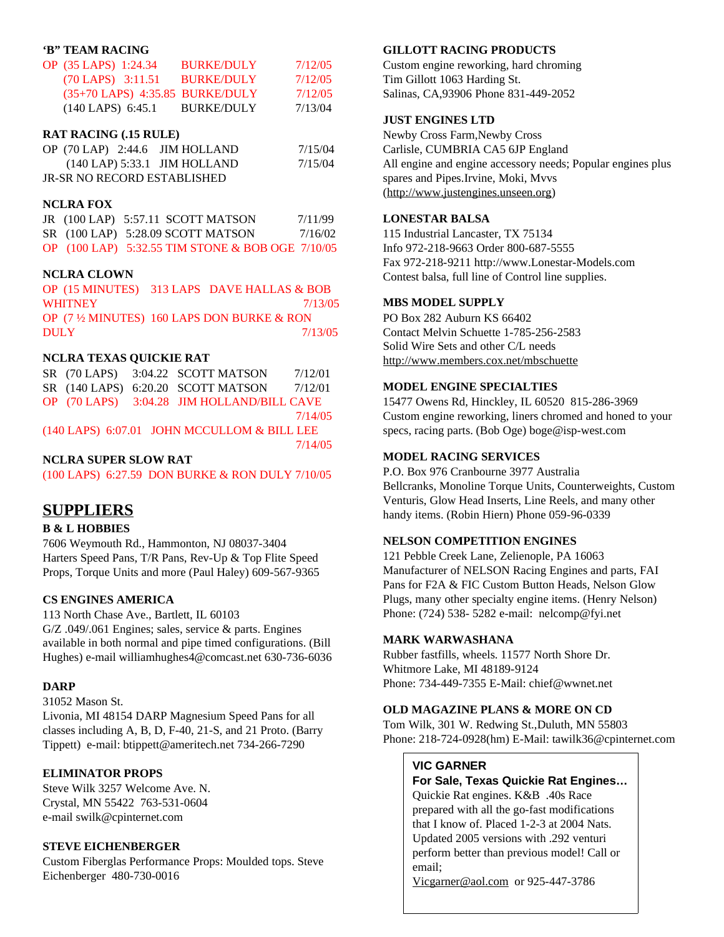#### **'B" TEAM RACING**

| OP (35 LAPS) 1:24.34                | <b>BURKE/DULY</b> | 7/12/05 |
|-------------------------------------|-------------------|---------|
| $(70$ LAPS $)$ 3:11.51              | <b>BURKE/DULY</b> | 7/12/05 |
| $(35+70$ LAPS) $4:35.85$ BURKE/DULY |                   | 7/12/05 |
| $(140$ LAPS $)$ 6:45.1              | <b>BURKE/DULY</b> | 7/13/04 |

#### **RAT RACING (.15 RULE)**

| OP $(70$ LAP $)$ 2:44.6 JIM HOLLAND | 7/15/04 |
|-------------------------------------|---------|
| $(140$ LAP $)$ 5:33.1 JIM HOLLAND   | 7/15/04 |
| JR-SR NO RECORD ESTABLISHED         |         |

#### **NCLRA FOX**

|  | JR $(100$ LAP $)$ 5:57.11 SCOTT MATSON           | 7/11/99 |
|--|--------------------------------------------------|---------|
|  | $SR(100$ LAP $)$ 5:28.09 SCOTT MATSON            | 7/16/02 |
|  | OP (100 LAP) 5:32.55 TIM STONE & BOB OGE 7/10/05 |         |

#### **NCLRA CLOWN**

OP (15 MINUTES) 313 LAPS DAVE HALLAS & BOB WHITNEY 2/13/05 OP (7 ½ MINUTES) 160 LAPS DON BURKE & RON DULY 7/13/05

#### **NCLRA TEXAS QUICKIE RAT**

|  | SR (70 LAPS) 3:04.22 SCOTT MATSON           | 7/12/01 |
|--|---------------------------------------------|---------|
|  | SR (140 LAPS) 6:20.20 SCOTT MATSON 7/12/01  |         |
|  | OP (70 LAPS) 3:04.28 JIM HOLLAND/BILL CAVE  |         |
|  |                                             | 7/14/05 |
|  | (140 LAPS) 6:07.01 JOHN MCCULLOM & BILL LEE |         |
|  |                                             | 7/14/05 |

#### **NCLRA SUPER SLOW RAT**

(100 LAPS) 6:27.59 DON BURKE & RON DULY 7/10/05

## **SUPPLIERS**

#### **B & L HOBBIES**

7606 Weymouth Rd., Hammonton, NJ 08037-3404 Harters Speed Pans, T/R Pans, Rev-Up & Top Flite Speed Props, Torque Units and more (Paul Haley) 609-567-9365

#### **CS ENGINES AMERICA**

113 North Chase Ave., Bartlett, IL 60103 G/Z .049/.061 Engines; sales, service & parts. Engines available in both normal and pipe timed configurations. (Bill Hughes) e-mail williamhughes4@comcast.net 630-736-6036

#### **DARP**

31052 Mason St. Livonia, MI 48154 DARP Magnesium Speed Pans for all classes including A, B, D, F-40, 21-S, and 21 Proto. (Barry Tippett) e-mail: btippett@ameritech.net 734-266-7290

#### **ELIMINATOR PROPS**

Steve Wilk 3257 Welcome Ave. N. Crystal, MN 55422 763-531-0604 e-mail swilk@cpinternet.com

#### **STEVE EICHENBERGER**

Custom Fiberglas Performance Props: Moulded tops. Steve Eichenberger 480-730-0016

#### **GILLOTT RACING PRODUCTS**

Custom engine reworking, hard chroming Tim Gillott 1063 Harding St. Salinas, CA,93906 Phone 831-449-2052

#### **JUST ENGINES LTD**

Newby Cross Farm,Newby Cross Carlisle, CUMBRIA CA5 6JP England All engine and engine accessory needs; Popular engines plus spares and Pipes.Irvine, Moki, Mvvs (http://www.justengines.unseen.org)

#### **LONESTAR BALSA**

115 Industrial Lancaster, TX 75134 Info 972-218-9663 Order 800-687-5555 Fax 972-218-9211 http://www.Lonestar-Models.com Contest balsa, full line of Control line supplies.

#### **MBS MODEL SUPPLY**

PO Box 282 Auburn KS 66402 Contact Melvin Schuette 1-785-256-2583 Solid Wire Sets and other C/L needs http://www.members.cox.net/mbschuette

#### **MODEL ENGINE SPECIALTIES**

15477 Owens Rd, Hinckley, IL 60520 815-286-3969 Custom engine reworking, liners chromed and honed to your specs, racing parts. (Bob Oge) boge@isp-west.com

#### **MODEL RACING SERVICES**

P.O. Box 976 Cranbourne 3977 Australia Bellcranks, Monoline Torque Units, Counterweights, Custom Venturis, Glow Head Inserts, Line Reels, and many other handy items. (Robin Hiern) Phone 059-96-0339

#### **NELSON COMPETITION ENGINES**

121 Pebble Creek Lane, Zelienople, PA 16063 Manufacturer of NELSON Racing Engines and parts, FAI Pans for F2A & FIC Custom Button Heads, Nelson Glow Plugs, many other specialty engine items. (Henry Nelson) Phone: (724) 538- 5282 e-mail: nelcomp@fyi.net

#### **MARK WARWASHANA**

Rubber fastfills, wheels. 11577 North Shore Dr. Whitmore Lake, MI 48189-9124 Phone: 734-449-7355 E-Mail: chief@wwnet.net

#### **OLD MAGAZINE PLANS & MORE ON CD**

Tom Wilk, 301 W. Redwing St.,Duluth, MN 55803 Phone: 218-724-0928(hm) E-Mail: tawilk36@cpinternet.com

#### **VIC GARNER**

**For Sale, Texas Quickie Rat Engines…** Quickie Rat engines. K&B .40s Race prepared with all the go-fast modifications that I know of. Placed 1-2-3 at 2004 Nats. Updated 2005 versions with .292 venturi perform better than previous model! Call or email;

Vicgarner@aol.com or 925-447-3786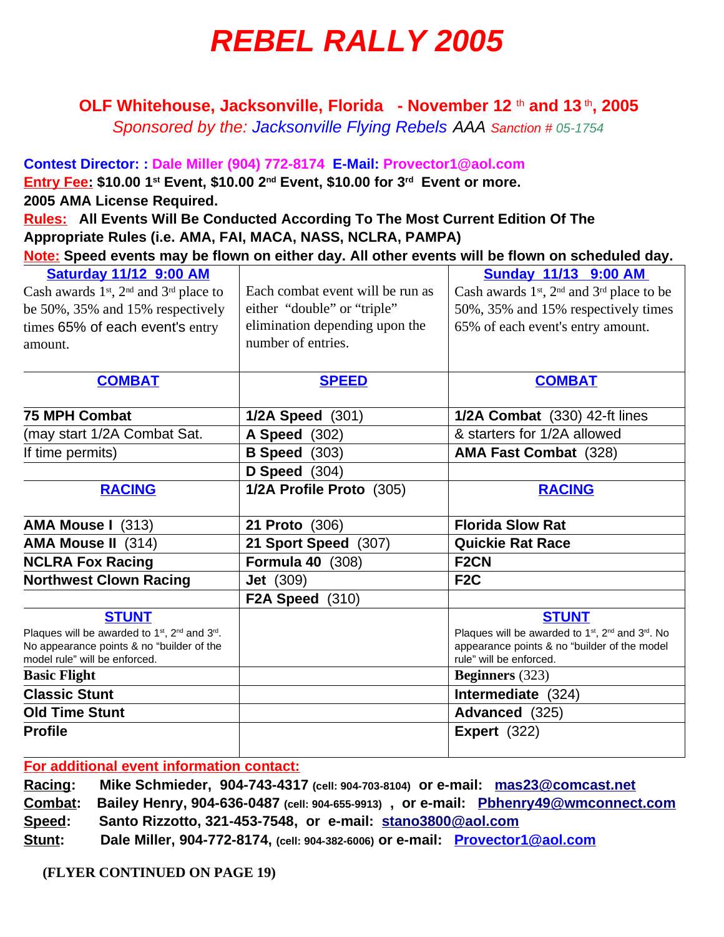# **REBEL RALLY 2005**

**OLF Whitehouse, Jacksonville, Florida - November 12** th **and 13** th **, 2005**

Sponsored by the: Jacksonville Flying Rebels AAA Sanction # 05-1754

**Contest Director: : Dale Miller (904) 772-8174 E-Mail: Provector1@aol.com Entry Fee: \$10.00 1 st Event, \$10.00 2 nd Event, \$10.00 for 3 rd Event or more. 2005 AMA License Required. Rules: All Events Will Be Conducted According To The Most Current Edition Of The Appropriate Rules (i.e. AMA, FAI, MACA, NASS, NCLRA, PAMPA) Note: Speed events may be flown on either day. All other events will be flown on scheduled day.**

| <b>Saturday 11/12 9:00 AM</b>                                                      |                                  | <b>Sunday 11/13 9:00 AM</b>                                                           |  |
|------------------------------------------------------------------------------------|----------------------------------|---------------------------------------------------------------------------------------|--|
| Cash awards 1 <sup>st</sup> , 2 <sup>nd</sup> and 3 <sup>rd</sup> place to         | Each combat event will be run as | Cash awards $1st$ , $2nd$ and $3rd$ place to be                                       |  |
| be 50%, 35% and 15% respectively                                                   | either "double" or "triple"      | 50%, 35% and 15% respectively times                                                   |  |
| times 65% of each event's entry                                                    | elimination depending upon the   | 65% of each event's entry amount.                                                     |  |
| amount.                                                                            | number of entries.               |                                                                                       |  |
|                                                                                    |                                  |                                                                                       |  |
| <b>COMBAT</b>                                                                      | <b>SPEED</b>                     | <b>COMBAT</b>                                                                         |  |
| <b>75 MPH Combat</b>                                                               | 1/2A Speed (301)                 | 1/2A Combat (330) 42-ft lines                                                         |  |
| (may start 1/2A Combat Sat.                                                        | <b>A Speed</b> (302)             | & starters for 1/2A allowed                                                           |  |
| If time permits)                                                                   | <b>B Speed</b> (303)             | <b>AMA Fast Combat</b> (328)                                                          |  |
|                                                                                    | D Speed $(304)$                  |                                                                                       |  |
| <b>RACING</b>                                                                      | 1/2A Profile Proto (305)         | <b>RACING</b>                                                                         |  |
| AMA Mouse I (313)                                                                  | 21 Proto (306)                   | <b>Florida Slow Rat</b>                                                               |  |
| <b>AMA Mouse II</b> (314)                                                          | 21 Sport Speed (307)             | <b>Quickie Rat Race</b>                                                               |  |
| <b>NCLRA Fox Racing</b>                                                            | <b>Formula 40 (308)</b>          | F <sub>2</sub> CN                                                                     |  |
| <b>Northwest Clown Racing</b>                                                      | <b>Jet</b> (309)                 | F <sub>2</sub> C                                                                      |  |
|                                                                                    | <b>F2A Speed</b> (310)           |                                                                                       |  |
| <b>STUNT</b>                                                                       |                                  | <b>STUNT</b>                                                                          |  |
| Plaques will be awarded to 1 <sup>st</sup> , 2 <sup>nd</sup> and 3 <sup>rd</sup> . |                                  | Plaques will be awarded to 1 <sup>st</sup> , 2 <sup>nd</sup> and 3 <sup>rd</sup> . No |  |
| No appearance points & no "builder of the<br>model rule" will be enforced.         |                                  | appearance points & no "builder of the model<br>rule" will be enforced.               |  |
| <b>Basic Flight</b>                                                                |                                  | <b>Beginners</b> (323)                                                                |  |
| <b>Classic Stunt</b>                                                               |                                  | Intermediate (324)                                                                    |  |
| <b>Old Time Stunt</b>                                                              |                                  | Advanced (325)                                                                        |  |
| <b>Profile</b>                                                                     |                                  | <b>Expert</b> (322)                                                                   |  |
|                                                                                    |                                  |                                                                                       |  |

**For additional event information contact:**

**Racing: Mike Schmieder, 904-743-4317 (cell: 904-703-8104) or e-mail: mas23@comcast.net Combat: Bailey Henry, 904-636-0487 (cell: 904-655-9913) , or e-mail: Pbhenry49@wmconnect.com Speed: Santo Rizzotto, 321-453-7548, or e-mail: stano3800@aol.com Stunt: Dale Miller, 904-772-8174, (cell: 904-382-6006) or e-mail: Provector1@aol.com**

**(FLYER CONTINUED ON PAGE 19)**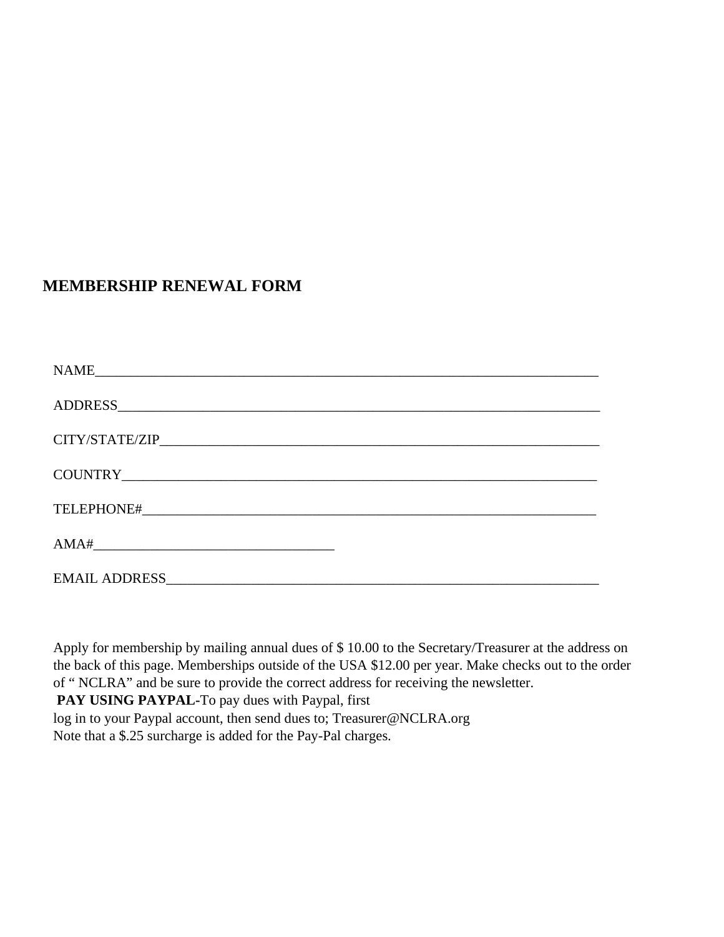## **MEMBERSHIP RENEWAL FORM**

| <b>NAME</b> |  |
|-------------|--|
|             |  |
|             |  |
|             |  |
|             |  |
| AMA#        |  |
|             |  |

Apply for membership by mailing annual dues of \$ 10.00 to the Secretary/Treasurer at the address on the back of this page. Memberships outside of the USA \$12.00 per year. Make checks out to the order of " NCLRA" and be sure to provide the correct address for receiving the newsletter.

PAY USING PAYPAL-To pay dues with Paypal, first

log in to your Paypal account, then send dues to; Treasurer@NCLRA.org Note that a \$.25 surcharge is added for the Pay-Pal charges.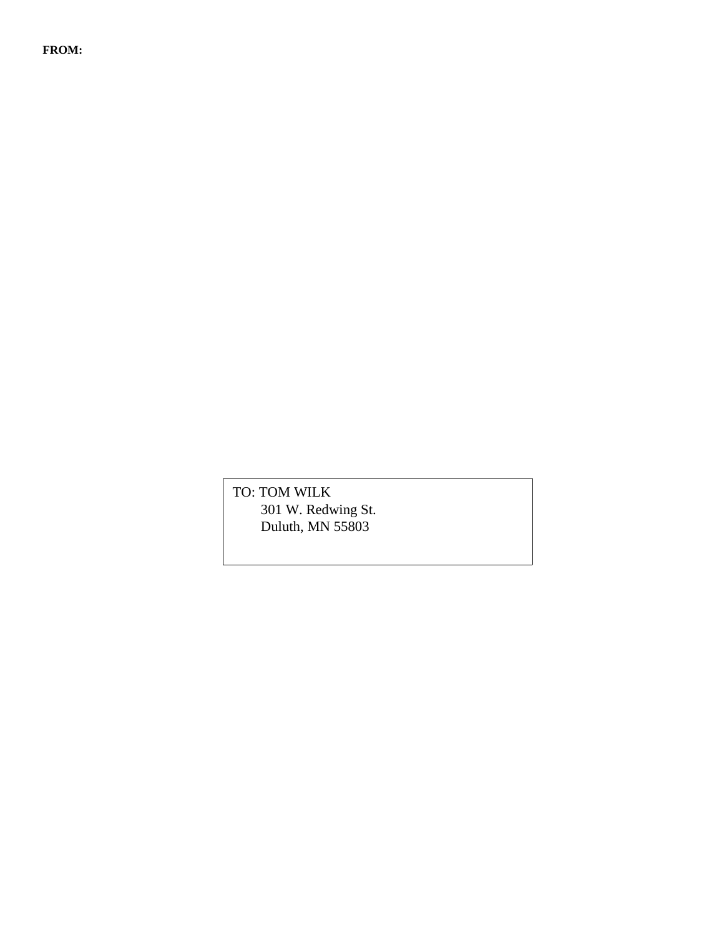**FROM:**

TO: TOM WILK 301 W. Redwing St. Duluth, MN 55803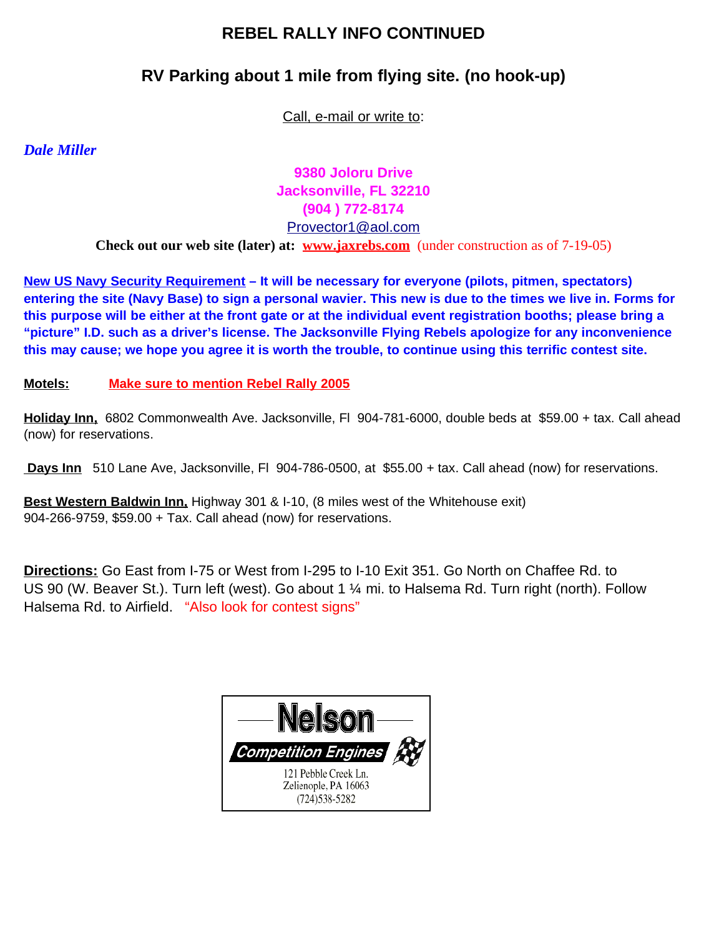# **REBEL RALLY INFO CONTINUED**

# **RV Parking about 1 mile from flying site. (no hook-up)**

Call, e-mail or write to:

*Dale Miller*

**9380 Joloru Drive Jacksonville, FL 32210 (904 ) 772-8174** Provector1@aol.com

**Check out our web site (later) at: www.jaxrebs.com** (under construction as of 7-19-05)

**New US Navy Security Requirement – It will be necessary for everyone (pilots, pitmen, spectators)** entering the site (Navy Base) to sign a personal wavier. This new is due to the times we live in. Forms for this purpose will be either at the front gate or at the individual event registration booths; please bring a **"picture" I.D. such as a driver's license. The Jacksonville Flying Rebels apologize for any inconvenience** this may cause; we hope you agree it is worth the trouble, to continue using this terrific contest site.

**Motels: Make sure to mention Rebel Rally 2005**

**Holiday Inn,** 6802 Commonwealth Ave. Jacksonville, Fl 904-781-6000, double beds at \$59.00 + tax. Call ahead (now) for reservations.

**Days Inn** 510 Lane Ave, Jacksonville, Fl 904-786-0500, at \$55.00 + tax. Call ahead (now) for reservations.

**Best Western Baldwin Inn,** Highway 301 & I-10, (8 miles west of the Whitehouse exit) 904-266-9759, \$59.00 + Tax. Call ahead (now) for reservations.

**Directions:** Go East from I-75 or West from I-295 to I-10 Exit 351. Go North on Chaffee Rd. to US 90 (W. Beaver St.). Turn left (west). Go about 1 ¼ mi. to Halsema Rd. Turn right (north). Follow Halsema Rd. to Airfield. "Also look for contest signs"